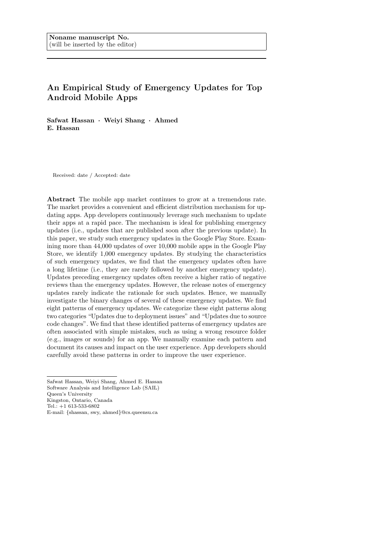# An Empirical Study of Emergency Updates for Top Android Mobile Apps

Safwat Hassan · Weiyi Shang · Ahmed E. Hassan

Received: date / Accepted: date

Abstract The mobile app market continues to grow at a tremendous rate. The market provides a convenient and efficient distribution mechanism for updating apps. App developers continuously leverage such mechanism to update their apps at a rapid pace. The mechanism is ideal for publishing emergency updates (i.e., updates that are published soon after the previous update). In this paper, we study such emergency updates in the Google Play Store. Examining more than 44,000 updates of over 10,000 mobile apps in the Google Play Store, we identify 1,000 emergency updates. By studying the characteristics of such emergency updates, we find that the emergency updates often have a long lifetime (i.e., they are rarely followed by another emergency update). Updates preceding emergency updates often receive a higher ratio of negative reviews than the emergency updates. However, the release notes of emergency updates rarely indicate the rationale for such updates. Hence, we manually investigate the binary changes of several of these emergency updates. We find eight patterns of emergency updates. We categorize these eight patterns along two categories "Updates due to deployment issues" and "Updates due to source code changes". We find that these identified patterns of emergency updates are often associated with simple mistakes, such as using a wrong resource folder (e.g., images or sounds) for an app. We manually examine each pattern and document its causes and impact on the user experience. App developers should carefully avoid these patterns in order to improve the user experience.

Safwat Hassan, Weiyi Shang, Ahmed E. Hassan Software Analysis and Intelligence Lab (SAIL) Queen's University Kingston, Ontario, Canada Tel.: +1 613-533-6802 E-mail: {shassan, swy, ahmed}@cs.queensu.ca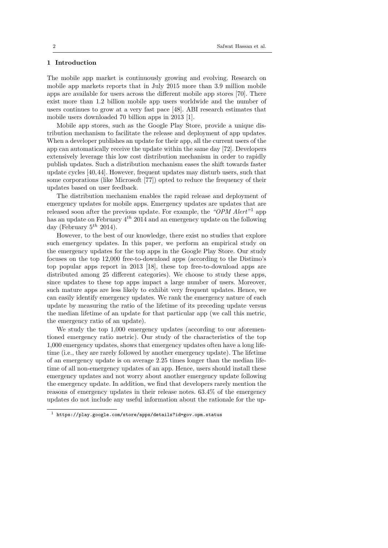# 1 Introduction

The mobile app market is continuously growing and evolving. Research on mobile app markets reports that in July 2015 more than 3.9 million mobile apps are available for users across the different mobile app stores [70]. There exist more than 1.2 billion mobile app users worldwide and the number of users continues to grow at a very fast pace [48]. ABI research estimates that mobile users downloaded 70 billion apps in 2013 [1].

Mobile app stores, such as the Google Play Store, provide a unique distribution mechanism to facilitate the release and deployment of app updates. When a developer publishes an update for their app, all the current users of the app can automatically receive the update within the same day [72]. Developers extensively leverage this low cost distribution mechanism in order to rapidly publish updates. Such a distribution mechanism eases the shift towards faster update cycles [40,44]. However, frequent updates may disturb users, such that some corporations (like Microsoft [77]) opted to reduce the frequency of their updates based on user feedback.

The distribution mechanism enables the rapid release and deployment of emergency updates for mobile apps. Emergency updates are updates that are released soon after the previous update. For example, the "OPM Alert"<sup>1</sup> app has an update on February  $4^{th}$  2014 and an emergency update on the following day (February  $5^{th}$  2014).

However, to the best of our knowledge, there exist no studies that explore such emergency updates. In this paper, we perform an empirical study on the emergency updates for the top apps in the Google Play Store. Our study focuses on the top 12,000 free-to-download apps (according to the Distimo's top popular apps report in 2013 [18], these top free-to-download apps are distributed among 25 different categories). We choose to study these apps, since updates to these top apps impact a large number of users. Moreover, such mature apps are less likely to exhibit very frequent updates. Hence, we can easily identify emergency updates. We rank the emergency nature of each update by measuring the ratio of the lifetime of its preceding update versus the median lifetime of an update for that particular app (we call this metric, the emergency ratio of an update).

We study the top 1,000 emergency updates (according to our aforementioned emergency ratio metric). Our study of the characteristics of the top 1,000 emergency updates, shows that emergency updates often have a long lifetime (i.e., they are rarely followed by another emergency update). The lifetime of an emergency update is on average 2.25 times longer than the median lifetime of all non-emergency updates of an app. Hence, users should install these emergency updates and not worry about another emergency update following the emergency update. In addition, we find that developers rarely mention the reasons of emergency updates in their release notes. 63.4% of the emergency updates do not include any useful information about the rationale for the up-

<sup>1</sup> https://play.google.com/store/apps/details?id=gov.opm.status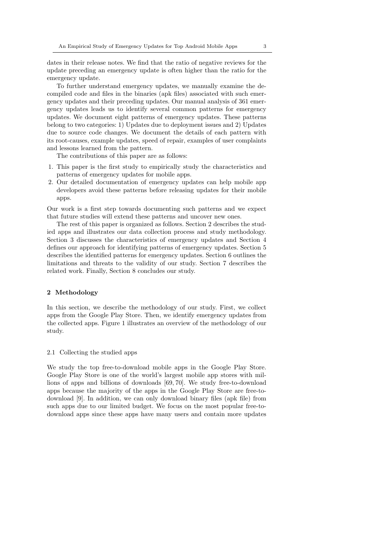dates in their release notes. We find that the ratio of negative reviews for the update preceding an emergency update is often higher than the ratio for the emergency update.

To further understand emergency updates, we manually examine the decompiled code and files in the binaries (apk files) associated with such emergency updates and their preceding updates. Our manual analysis of 361 emergency updates leads us to identify several common patterns for emergency updates. We document eight patterns of emergency updates. These patterns belong to two categories: 1) Updates due to deployment issues and 2) Updates due to source code changes. We document the details of each pattern with its root-causes, example updates, speed of repair, examples of user complaints and lessons learned from the pattern.

The contributions of this paper are as follows:

- 1. This paper is the first study to empirically study the characteristics and patterns of emergency updates for mobile apps.
- 2. Our detailed documentation of emergency updates can help mobile app developers avoid these patterns before releasing updates for their mobile apps.

Our work is a first step towards documenting such patterns and we expect that future studies will extend these patterns and uncover new ones.

The rest of this paper is organized as follows. Section 2 describes the studied apps and illustrates our data collection process and study methodology. Section 3 discusses the characteristics of emergency updates and Section 4 defines our approach for identifying patterns of emergency updates. Section 5 describes the identified patterns for emergency updates. Section 6 outlines the limitations and threats to the validity of our study. Section 7 describes the related work. Finally, Section 8 concludes our study.

## 2 Methodology

In this section, we describe the methodology of our study. First, we collect apps from the Google Play Store. Then, we identify emergency updates from the collected apps. Figure 1 illustrates an overview of the methodology of our study.

#### 2.1 Collecting the studied apps

We study the top free-to-download mobile apps in the Google Play Store. Google Play Store is one of the world's largest mobile app stores with millions of apps and billions of downloads [69, 70]. We study free-to-download apps because the majority of the apps in the Google Play Store are free-todownload [9]. In addition, we can only download binary files (apk file) from such apps due to our limited budget. We focus on the most popular free-todownload apps since these apps have many users and contain more updates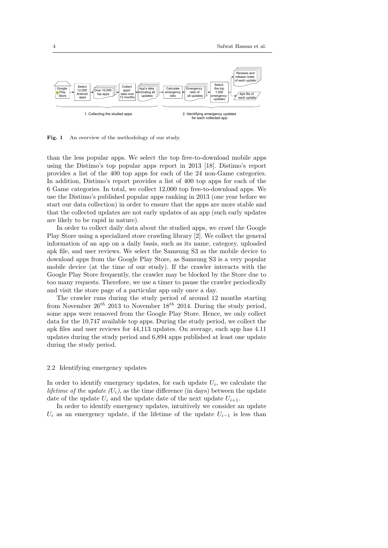

Fig. 1 An overview of the methodology of our study.

than the less popular apps. We select the top free-to-download mobile apps using the Distimo's top popular apps report in 2013 [18]. Distimo's report provides a list of the 400 top apps for each of the 24 non-Game categories. In addition, Distimo's report provides a list of 400 top apps for each of the 6 Game categories. In total, we collect 12,000 top free-to-download apps. We use the Distimo's published popular apps ranking in 2013 (one year before we start our data collection) in order to ensure that the apps are more stable and that the collected updates are not early updates of an app (such early updates are likely to be rapid in nature).

In order to collect daily data about the studied apps, we crawl the Google Play Store using a specialized store crawling library [2]. We collect the general information of an app on a daily basis, such as its name, category, uploaded apk file, and user reviews. We select the Samsung S3 as the mobile device to download apps from the Google Play Store, as Samsung S3 is a very popular mobile device (at the time of our study). If the crawler interacts with the Google Play Store frequently, the crawler may be blocked by the Store due to too many requests. Therefore, we use a timer to pause the crawler periodically and visit the store page of a particular app only once a day.

The crawler runs during the study period of around 12 months starting from November  $26^{th}$  2013 to November 18<sup>th</sup> 2014. During the study period, some apps were removed from the Google Play Store. Hence, we only collect data for the 10,747 available top apps. During the study period, we collect the apk files and user reviews for 44,113 updates. On average, each app has 4.11 updates during the study period and 6,894 apps published at least one update during the study period.

#### 2.2 Identifying emergency updates

In order to identify emergency updates, for each update  $U_i$ , we calculate the lifetime of the update  $(U_i)$ , as the time difference (in days) between the update date of the update  $U_i$  and the update date of the next update  $U_{i+1}$ .

In order to identify emergency updates, intuitively we consider an update  $U_i$  as an emergency update, if the lifetime of the update  $U_{i-1}$  is less than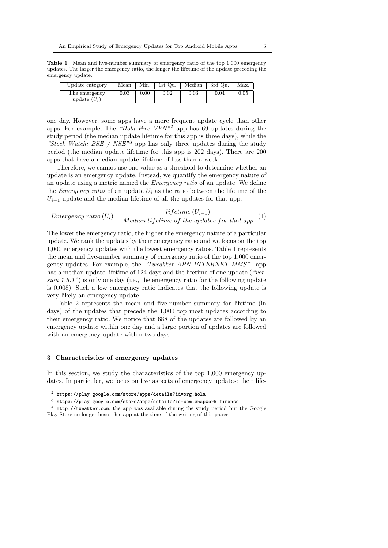Table 1 Mean and five-number summary of emergency ratio of the top 1,000 emergency updates. The larger the emergency ratio, the longer the lifetime of the update preceding the emergency update.

| Update category                 | Mean | Min.     | 1st Ou. | Median | 3rd Ou. | Max. |
|---------------------------------|------|----------|---------|--------|---------|------|
| The emergency<br>update $(U_i)$ | 0.03 | $0.00\,$ | 0.02    | 0.03   | 0.04    | 0.05 |

one day. However, some apps have a more frequent update cycle than other apps. For example, The "Hola Free VPN"<sup>2</sup> app has 69 updates during the study period (the median update lifetime for this app is three days), while the "Stock Watch: BSE /  $NSE^{3}$  app has only three updates during the study period (the median update lifetime for this app is 202 days). There are 200 apps that have a median update lifetime of less than a week.

Therefore, we cannot use one value as a threshold to determine whether an update is an emergency update. Instead, we quantify the emergency nature of an update using a metric named the Emergency ratio of an update. We define the *Emergency ratio* of an update  $U_i$  as the ratio between the lifetime of the  $U_{i-1}$  update and the median lifetime of all the updates for that app.

$$
Emergency\ ratio\ (U_i) = \frac{lifetime\ (U_{i-1})}{Median\ lifetime\ of\ the\ updates\ for\ that\ app} \quad (1)
$$

The lower the emergency ratio, the higher the emergency nature of a particular update. We rank the updates by their emergency ratio and we focus on the top 1,000 emergency updates with the lowest emergency ratios. Table 1 represents the mean and five-number summary of emergency ratio of the top 1,000 emergency updates. For example, the "Tweakker APN INTERNET MMS"<sup>4</sup> app has a median update lifetime of 124 days and the lifetime of one update ("version 1.8.1") is only one day (i.e., the emergency ratio for the following update is 0.008). Such a low emergency ratio indicates that the following update is very likely an emergency update.

Table 2 represents the mean and five-number summary for lifetime (in days) of the updates that precede the 1,000 top most updates according to their emergency ratio. We notice that 688 of the updates are followed by an emergency update within one day and a large portion of updates are followed with an emergency update within two days.

### 3 Characteristics of emergency updates

In this section, we study the characteristics of the top 1,000 emergency updates. In particular, we focus on five aspects of emergency updates: their life-

 $^2$ https://play.google.com/store/apps/details?id=org.hola

 $^3$ https://play.google.com/store/apps/details?id=com.snapwork.finance

<sup>4</sup> http://tweakker.com, the app was available during the study period but the Google Play Store no longer hosts this app at the time of the writing of this paper.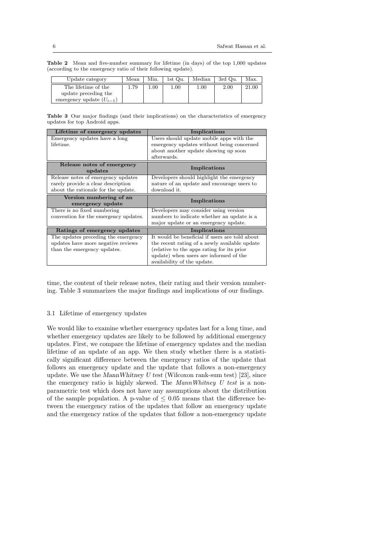Table 2 Mean and five-number summary for lifetime (in days) of the top 1,000 updates (according to the emergency ratio of their following update).

| Update category              | Mean | Min. | 1st Qu. | Median   | 3rd Ou. | Max.  |
|------------------------------|------|------|---------|----------|---------|-------|
| The lifetime of the          | 1.79 | 00.1 | 00.1    | $1.00\,$ | 2.00    | 21.00 |
| update preceding the         |      |      |         |          |         |       |
| emergency update $(U_{i-1})$ |      |      |         |          |         |       |

Table 3 Our major findings (and their implications) on the characteristics of emergency updates for top Android apps.

| Lifetime of emergency updates         | Implications                                   |
|---------------------------------------|------------------------------------------------|
| Emergency updates have a long         | Users should update mobile apps with the       |
| lifetime.                             | emergency updates without being concerned      |
|                                       | about another update showing up soon           |
|                                       | afterwards.                                    |
| Release notes of emergency            |                                                |
| updates                               | Implications                                   |
| Release notes of emergency updates    | Developers should highlight the emergency      |
| rarely provide a clear description    | nature of an update and encourage users to     |
| about the rationale for the update.   | download it.                                   |
| Version numbering of an               |                                                |
| emergency update                      | Implications                                   |
| There is no fixed numbering           | Developers may consider using version          |
|                                       |                                                |
| convention for the emergency updates. | numbers to indicate whether an update is a     |
|                                       | major update or an emergency update.           |
| Ratings of emergency updates          | Implications                                   |
| The updates preceding the emergency   | It would be beneficial if users are told about |
| updates have more negative reviews    | the recent rating of a newly available update  |
| than the emergency updates.           | (relative to the apps rating for its prior     |
|                                       | update) when users are informed of the         |

time, the content of their release notes, their rating and their version numbering. Table 3 summarizes the major findings and implications of our findings.

#### 3.1 Lifetime of emergency updates

We would like to examine whether emergency updates last for a long time, and whether emergency updates are likely to be followed by additional emergency updates. First, we compare the lifetime of emergency updates and the median lifetime of an update of an app. We then study whether there is a statistically significant difference between the emergency ratios of the update that follows an emergency update and the update that follows a non-emergency update. We use the MannWhitney U test (Wilcoxon rank-sum test) [23], since the emergency ratio is highly skewed. The MannWhitney U test is a nonparametric test which does not have any assumptions about the distribution of the sample population. A p-value of  $\leq 0.05$  means that the difference between the emergency ratios of the updates that follow an emergency update and the emergency ratios of the updates that follow a non-emergency update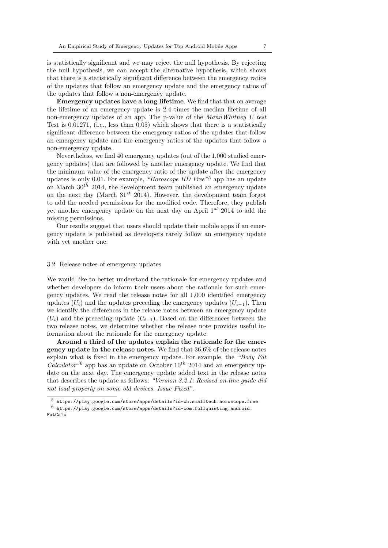is statistically significant and we may reject the null hypothesis. By rejecting the null hypothesis, we can accept the alternative hypothesis, which shows that there is a statistically significant difference between the emergency ratios of the updates that follow an emergency update and the emergency ratios of the updates that follow a non-emergency update.

Emergency updates have a long lifetime. We find that that on average the lifetime of an emergency update is 2.4 times the median lifetime of all non-emergency updates of an app. The p-value of the MannWhitney U test Test is 0.01271, (i.e., less than 0.05) which shows that there is a statistically significant difference between the emergency ratios of the updates that follow an emergency update and the emergency ratios of the updates that follow a non-emergency update.

Nevertheless, we find 40 emergency updates (out of the 1,000 studied emergency updates) that are followed by another emergency update. We find that the minimum value of the emergency ratio of the update after the emergency updates is only 0.01. For example, "Horoscope HD Free"<sup>5</sup> app has an update on March  $30<sup>th</sup>$  2014, the development team published an emergency update on the next day (March  $31^{st}$  2014). However, the development team forgot to add the needed permissions for the modified code. Therefore, they publish yet another emergency update on the next day on April  $1^{st}$  2014 to add the missing permissions.

Our results suggest that users should update their mobile apps if an emergency update is published as developers rarely follow an emergency update with yet another one.

#### 3.2 Release notes of emergency updates

We would like to better understand the rationale for emergency updates and whether developers do inform their users about the rationale for such emergency updates. We read the release notes for all 1,000 identified emergency updates  $(U_i)$  and the updates preceding the emergency updates  $(U_{i-1})$ . Then we identify the differences in the release notes between an emergency update  $(U_i)$  and the preceding update  $(U_{i-1})$ . Based on the differences between the two release notes, we determine whether the release note provides useful information about the rationale for the emergency update.

Around a third of the updates explain the rationale for the emergency update in the release notes. We find that 36.6% of the release notes explain what is fixed in the emergency update. For example, the "Body Fat  $Calculator<sup>n6</sup>$  app has an update on October  $10<sup>th</sup>$  2014 and an emergency update on the next day. The emergency update added text in the release notes that describes the update as follows: "Version 3.2.1: Revised on-line guide did not load properly on some old devices. Issue Fixed".

 $^5\,$ https://play.google.com/store/apps/details?id=ch.smalltech.horoscope.free

 $^6$ https://play.google.com/store/apps/details?id=com.fullquieting.android. FatCalc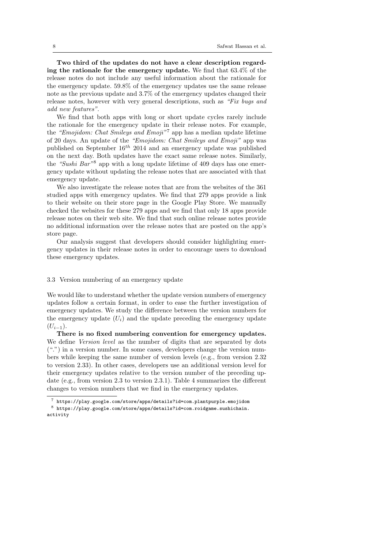Two third of the updates do not have a clear description regarding the rationale for the emergency update. We find that 63.4% of the release notes do not include any useful information about the rationale for the emergency update. 59.8% of the emergency updates use the same release note as the previous update and 3.7% of the emergency updates changed their release notes, however with very general descriptions, such as "Fix bugs and add new features".

We find that both apps with long or short update cycles rarely include the rationale for the emergency update in their release notes. For example, the "Emojidom: Chat Smileys and Emoji"<sup>7</sup> app has a median update lifetime of 20 days. An update of the "Emojidom: Chat Smileys and Emoji" app was published on September  $16^{th}$  2014 and an emergency update was published on the next day. Both updates have the exact same release notes. Similarly, the "Sushi Bar"<sup>8</sup> app with a long update lifetime of 409 days has one emergency update without updating the release notes that are associated with that emergency update.

We also investigate the release notes that are from the websites of the 361 studied apps with emergency updates. We find that 279 apps provide a link to their website on their store page in the Google Play Store. We manually checked the websites for these 279 apps and we find that only 18 apps provide release notes on their web site. We find that such online release notes provide no additional information over the release notes that are posted on the app's store page.

Our analysis suggest that developers should consider highlighting emergency updates in their release notes in order to encourage users to download these emergency updates.

#### 3.3 Version numbering of an emergency update

We would like to understand whether the update version numbers of emergency updates follow a certain format, in order to ease the further investigation of emergency updates. We study the difference between the version numbers for the emergency update  $(U_i)$  and the update preceding the emergency update  $(U_{i-1}).$ 

There is no fixed numbering convention for emergency updates. We define Version level as the number of digits that are separated by dots  $($ "") in a version number. In some cases, developers change the version numbers while keeping the same number of version levels (e.g., from version 2.32 to version 2.33). In other cases, developers use an additional version level for their emergency updates relative to the version number of the preceding update (e.g., from version 2.3 to version 2.3.1). Table 4 summarizes the different changes to version numbers that we find in the emergency updates.

 $^7$ https://play.google.com/store/apps/details?id=com.plantpurple.emojidom

 $^8\,$ https://play.google.com/store/apps/details?id=com.roidgame.sushichain. activity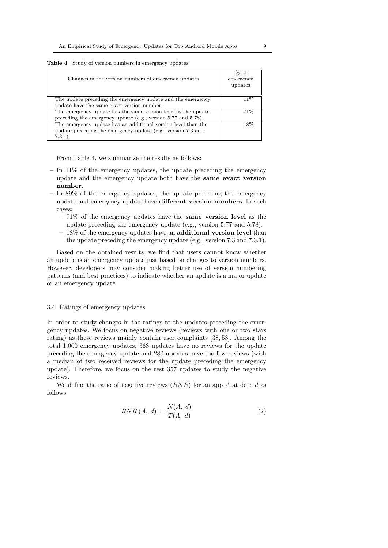| Changes in the version numbers of emergency updates           | $%$ of<br>emergency<br>updates |
|---------------------------------------------------------------|--------------------------------|
| The update preceding the emergency update and the emergency   | 11\%                           |
| update have the same exact version number.                    |                                |
| The emergency update has the same version level as the update | 71%                            |
| preceding the emergency update (e.g., version 5.77 and 5.78). |                                |
| The emergency update has an additional version level than the | 18%                            |
| update preceding the emergency update (e.g., version 7.3 and  |                                |
| $7.3.1$ ).                                                    |                                |

Table 4 Study of version numbers in emergency updates.

From Table 4, we summarize the results as follows:

- $-$  In 11% of the emergency updates, the update preceding the emergency update and the emergency update both have the same exact version number.
- In 89% of the emergency updates, the update preceding the emergency update and emergency update have different version numbers. In such cases:
	- $-71\%$  of the emergency updates have the **same version level** as the update preceding the emergency update (e.g., version 5.77 and 5.78).
	- $-18\%$  of the emergency updates have an **additional version level** than the update preceding the emergency update (e.g., version 7.3 and 7.3.1).

Based on the obtained results, we find that users cannot know whether an update is an emergency update just based on changes to version numbers. However, developers may consider making better use of version numbering patterns (and best practices) to indicate whether an update is a major update or an emergency update.

#### 3.4 Ratings of emergency updates

In order to study changes in the ratings to the updates preceding the emergency updates. We focus on negative reviews (reviews with one or two stars rating) as these reviews mainly contain user complaints [38, 53]. Among the total 1,000 emergency updates, 363 updates have no reviews for the update preceding the emergency update and 280 updates have too few reviews (with a median of two received reviews for the update preceding the emergency update). Therefore, we focus on the rest 357 updates to study the negative reviews.

We define the ratio of negative reviews  $(RNR)$  for an app A at date d as follows:

$$
RNR\left(A,\ d\right) = \frac{N(A,\ d)}{T(A,\ d)}\tag{2}
$$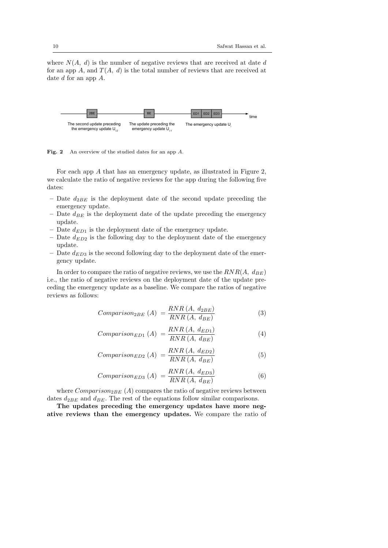where  $N(A, d)$  is the number of negative reviews that are received at date d for an app A, and  $T(A, d)$  is the total number of reviews that are received at date d for an app A.



Fig. 2 An overview of the studied dates for an app A.

For each app A that has an emergency update, as illustrated in Figure 2, we calculate the ratio of negative reviews for the app during the following five dates:

- Date  $d_{2BE}$  is the deployment date of the second update preceding the emergency update.
- Date  $d_{BE}$  is the deployment date of the update preceding the emergency update.
- Date  $d_{ED1}$  is the deployment date of the emergency update.
- Date  $d_{ED2}$  is the following day to the deployment date of the emergency update.
- Date  $d_{ED3}$  is the second following day to the deployment date of the emergency update.

In order to compare the ratio of negative reviews, we use the  $RNR(A, d_{BE})$ i.e., the ratio of negative reviews on the deployment date of the update preceding the emergency update as a baseline. We compare the ratios of negative reviews as follows:

$$
Comparison_{2BE} (A) = \frac{RNR(A, d_{2BE})}{RNR(A, d_{BE})}
$$
\n(3)

$$
Comparison_{ED1}(A) = \frac{RNR(A, d_{ED1})}{RNR(A, d_{BE})}
$$
\n(4)

$$
Comparison_{ED2}(A) = \frac{RNR(A, d_{ED2})}{RNR(A, d_{BE})}
$$
\n(5)

$$
Comparison_{ED3}(A) = \frac{RNR(A, d_{ED3})}{RNR(A, d_{BE})}
$$
\n(6)

where  $Comparison_{2BE}$  (A) compares the ratio of negative reviews between dates  $d_{2BE}$  and  $d_{BE}$ . The rest of the equations follow similar comparisons.

The updates preceding the emergency updates have more negative reviews than the emergency updates. We compare the ratio of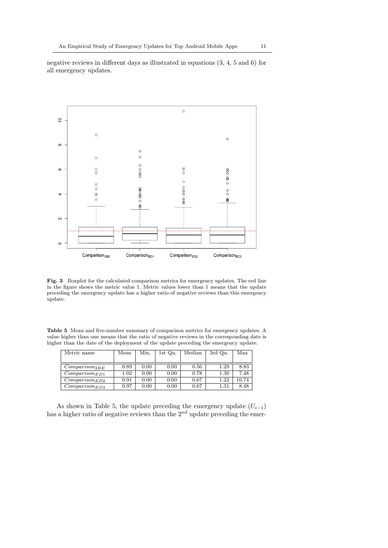negative reviews in different days as illustrated in equations (3, 4, 5 and 6) for all emergency updates.



Fig. 3 Boxplot for the calculated comparison metrics for emergency updates. The red line in the figure shows the metric value 1. Metric values lower than 1 means that the update preceding the emergency update has a higher ratio of negative reviews than this emergency update.

Table 5 Mean and five-number summary of comparison metrics for emergency updates. A value higher than one means that the ratio of negative reviews in the corresponding date is higher than the date of the deployment of the update preceding the emergency update.

| Metric name        | Mean | Min. | 1st Qu. | Median | 3rd Qu.   | Max   |
|--------------------|------|------|---------|--------|-----------|-------|
|                    |      |      |         |        |           |       |
| $Comparison_{2BE}$ | 0.89 | 0.00 | 0.00    | 0.56   | $1.29\,$  | 8.83  |
| $Comparison_{ED1}$ | 1.02 | 0.00 | 0.00    | 0.78   | $1.30\,$  | 7.48  |
| $Comparison_{ED2}$ | 0.91 | 0.00 | 0.00    | 0.67   | $1.22\,$  | 10.74 |
| $Comparison_{ED3}$ | 0.97 | 0.00 | 0.00    | 0.67   | $_{1.31}$ | 8.48  |

As shown in Table 5, the update preceding the emergency update  $(U_{i-1})$ has a higher ratio of negative reviews than the  $2^{nd}$  update preceding the emer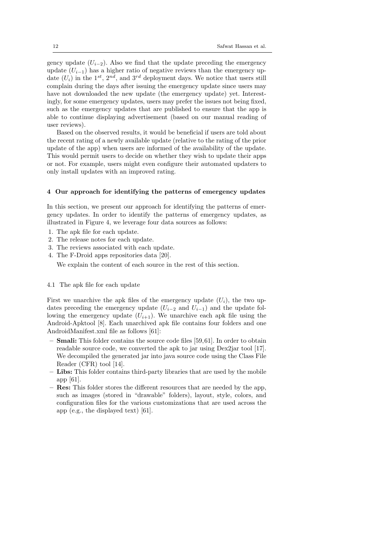gency update  $(U_{i-2})$ . Also we find that the update preceding the emergency update  $(U_{i-1})$  has a higher ratio of negative reviews than the emergency update  $(U_i)$  in the 1<sup>st</sup>,  $2^{n\bar{d}}$ , and  $3^{rd}$  deployment days. We notice that users still complain during the days after issuing the emergency update since users may have not downloaded the new update (the emergency update) yet. Interestingly, for some emergency updates, users may prefer the issues not being fixed, such as the emergency updates that are published to ensure that the app is able to continue displaying advertisement (based on our manual reading of user reviews).

Based on the observed results, it would be beneficial if users are told about the recent rating of a newly available update (relative to the rating of the prior update of the app) when users are informed of the availability of the update. This would permit users to decide on whether they wish to update their apps or not. For example, users might even configure their automated updaters to only install updates with an improved rating.

## 4 Our approach for identifying the patterns of emergency updates

In this section, we present our approach for identifying the patterns of emergency updates. In order to identify the patterns of emergency updates, as illustrated in Figure 4, we leverage four data sources as follows:

- 1. The apk file for each update.
- 2. The release notes for each update.
- 3. The reviews associated with each update.
- 4. The F-Droid apps repositories data [20].

We explain the content of each source in the rest of this section.

## 4.1 The apk file for each update

First we unarchive the apk files of the emergency update  $(U_i)$ , the two updates preceding the emergency update  $(U_{i-2}$  and  $U_{i-1}$ ) and the update following the emergency update  $(U_{i+1})$ . We unarchive each apk file using the Android-Apktool [8]. Each unarchived apk file contains four folders and one AndroidManifest.xml file as follows [61]:

- Smali: This folder contains the source code files [59,61]. In order to obtain readable source code, we converted the apk to jar using Dex2jar tool [17]. We decompiled the generated jar into java source code using the Class File Reader (CFR) tool [14].
- Libs: This folder contains third-party libraries that are used by the mobile app [61].
- Res: This folder stores the different resources that are needed by the app, such as images (stored in "drawable" folders), layout, style, colors, and configuration files for the various customizations that are used across the app (e.g., the displayed text) [61].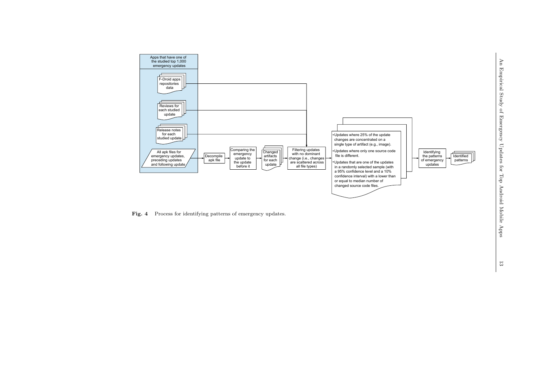

Fig. 4 Process for identifying patterns of emergency updates.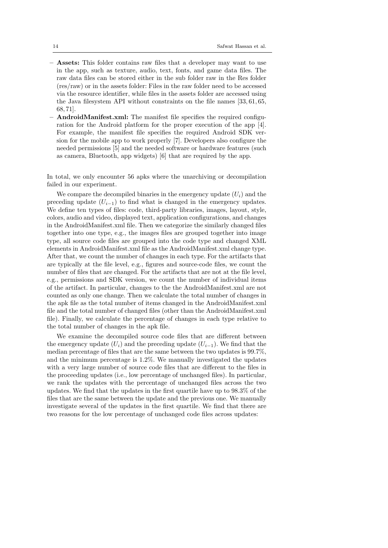- Assets: This folder contains raw files that a developer may want to use in the app, such as texture, audio, text, fonts, and game data files. The raw data files can be stored either in the sub folder raw in the Res folder (res/raw) or in the assets folder: Files in the raw folder need to be accessed via the resource identifier, while files in the assets folder are accessed using the Java filesystem API without constraints on the file names [33, 61, 65, 68, 71].
- AndroidManifest.xml: The manifest file specifies the required configuration for the Android platform for the proper execution of the app [4]. For example, the manifest file specifies the required Android SDK version for the mobile app to work properly [7]. Developers also configure the needed permissions [5] and the needed software or hardware features (such as camera, Bluetooth, app widgets) [6] that are required by the app.

In total, we only encounter 56 apks where the unarchiving or decompilation failed in our experiment.

We compare the decompiled binaries in the emergency update  $(U_i)$  and the preceding update  $(U_{i-1})$  to find what is changed in the emergency updates. We define ten types of files: code, third-party libraries, images, layout, style, colors, audio and video, displayed text, application configurations, and changes in the AndroidManifest.xml file. Then we categorize the similarly changed files together into one type, e.g., the images files are grouped together into image type, all source code files are grouped into the code type and changed XML elements in AndroidManifest.xml file as the AndroidManifest.xml change type. After that, we count the number of changes in each type. For the artifacts that are typically at the file level, e.g., figures and source-code files, we count the number of files that are changed. For the artifacts that are not at the file level, e.g., permissions and SDK version, we count the number of individual items of the artifact. In particular, changes to the the AndroidManifest.xml are not counted as only one change. Then we calculate the total number of changes in the apk file as the total number of items changed in the AndroidManifest.xml file and the total number of changed files (other than the AndroidManifest.xml file). Finally, we calculate the percentage of changes in each type relative to the total number of changes in the apk file.

We examine the decompiled source code files that are different between the emergency update  $(U_i)$  and the preceding update  $(U_{i-1})$ . We find that the median percentage of files that are the same between the two updates is 99.7%, and the minimum percentage is 1.2%. We manually investigated the updates with a very large number of source code files that are different to the files in the proceeding updates (i.e., low percentage of unchanged files). In particular, we rank the updates with the percentage of unchanged files across the two updates. We find that the updates in the first quartile have up to 98.3% of the files that are the same between the update and the previous one. We manually investigate several of the updates in the first quartile. We find that there are two reasons for the low percentage of unchanged code files across updates: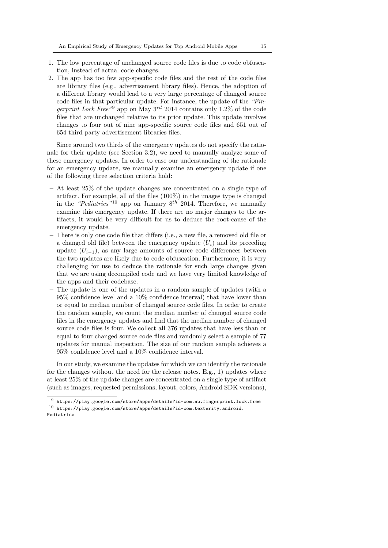- 1. The low percentage of unchanged source code files is due to code obfuscation, instead of actual code changes.
- 2. The app has too few app-specific code files and the rest of the code files are library files (e.g., advertisement library files). Hence, the adoption of a different library would lead to a very large percentage of changed source code files in that particular update. For instance, the update of the "Fin*gerprint Lock Free*<sup>"9</sup> app on May  $3^{rd}$  2014 contains only 1.2% of the code files that are unchanged relative to its prior update. This update involves changes to four out of nine app-specific source code files and 651 out of 654 third party advertisement libraries files.

Since around two thirds of the emergency updates do not specify the rationale for their update (see Section 3.2), we need to manually analyze some of these emergency updates. In order to ease our understanding of the rationale for an emergency update, we manually examine an emergency update if one of the following three selection criteria hold:

- At least 25% of the update changes are concentrated on a single type of artifact. For example, all of the files (100%) in the images type is changed in the "Pediatrics"<sup>10</sup> app on January  $8^{th}$  2014. Therefore, we manually examine this emergency update. If there are no major changes to the artifacts, it would be very difficult for us to deduce the root-cause of the emergency update.
- There is only one code file that differs (i.e., a new file, a removed old file or a changed old file) between the emergency update  $(U_i)$  and its preceding update  $(U_{i-1})$ , as any large amounts of source code differences between the two updates are likely due to code obfuscation. Furthermore, it is very challenging for use to deduce the rationale for such large changes given that we are using decompiled code and we have very limited knowledge of the apps and their codebase.
- The update is one of the updates in a random sample of updates (with a 95% confidence level and a 10% confidence interval) that have lower than or equal to median number of changed source code files. In order to create the random sample, we count the median number of changed source code files in the emergency updates and find that the median number of changed source code files is four. We collect all 376 updates that have less than or equal to four changed source code files and randomly select a sample of 77 updates for manual inspection. The size of our random sample achieves a 95% confidence level and a 10% confidence interval.

In our study, we examine the updates for which we can identify the rationale for the changes without the need for the release notes. E.g., 1) updates where at least 25% of the update changes are concentrated on a single type of artifact (such as images, requested permissions, layout, colors, Android SDK versions),

 $^9\,$ https://play.google.com/store/apps/details?id=com.nb.fingerprint.lock.free  $^{10}$ https://play.google.com/store/apps/details?id=com.texterity.android.

Pediatrics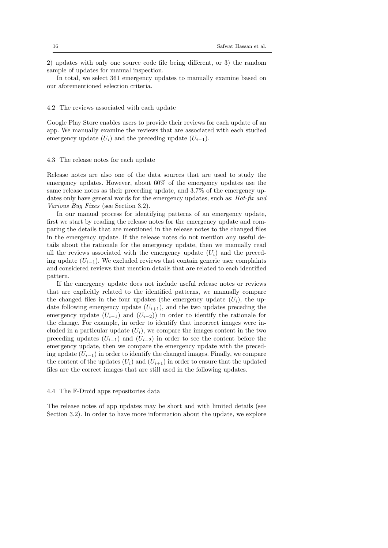2) updates with only one source code file being different, or 3) the random sample of updates for manual inspection.

In total, we select 361 emergency updates to manually examine based on our aforementioned selection criteria.

#### 4.2 The reviews associated with each update

Google Play Store enables users to provide their reviews for each update of an app. We manually examine the reviews that are associated with each studied emergency update  $(U_i)$  and the preceding update  $(U_{i-1})$ .

#### 4.3 The release notes for each update

Release notes are also one of the data sources that are used to study the emergency updates. However, about 60% of the emergency updates use the same release notes as their preceding update, and 3.7% of the emergency updates only have general words for the emergency updates, such as: *Hot-fix and* Various Bug Fixes (see Section 3.2).

In our manual process for identifying patterns of an emergency update, first we start by reading the release notes for the emergency update and comparing the details that are mentioned in the release notes to the changed files in the emergency update. If the release notes do not mention any useful details about the rationale for the emergency update, then we manually read all the reviews associated with the emergency update  $(U_i)$  and the preceding update  $(U_{i-1})$ . We excluded reviews that contain generic user complaints and considered reviews that mention details that are related to each identified pattern.

If the emergency update does not include useful release notes or reviews that are explicitly related to the identified patterns, we manually compare the changed files in the four updates (the emergency update  $(U_i)$ , the update following emergency update  $(U_{i+1})$ , and the two updates preceding the emergency update  $(U_{i-1})$  and  $(U_{i-2})$  in order to identify the rationale for the change. For example, in order to identify that incorrect images were included in a particular update  $(U_i)$ , we compare the images content in the two preceding updates  $(U_{i-1})$  and  $(U_{i-2})$  in order to see the content before the emergency update, then we compare the emergency update with the preceding update  $(U_{i-1})$  in order to identify the changed images. Finally, we compare the content of the updates  $(U_i)$  and  $(U_{i+1})$  in order to ensure that the updated files are the correct images that are still used in the following updates.

#### 4.4 The F-Droid apps repositories data

The release notes of app updates may be short and with limited details (see Section 3.2). In order to have more information about the update, we explore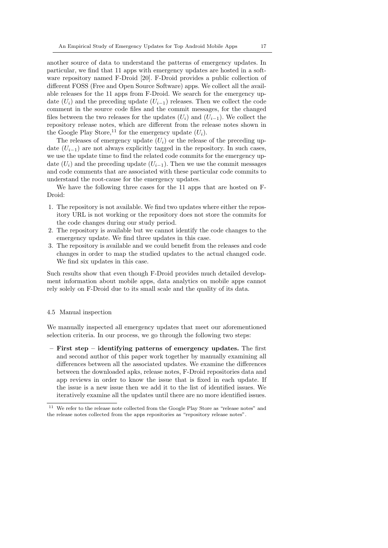another source of data to understand the patterns of emergency updates. In particular, we find that 11 apps with emergency updates are hosted in a software repository named F-Droid [20]. F-Droid provides a public collection of different FOSS (Free and Open Source Software) apps. We collect all the available releases for the 11 apps from F-Droid. We search for the emergency update  $(U_i)$  and the preceding update  $(U_{i-1})$  releases. Then we collect the code comment in the source code files and the commit messages, for the changed files between the two releases for the updates  $(U_i)$  and  $(U_{i-1})$ . We collect the repository release notes, which are different from the release notes shown in the Google Play Store,<sup>11</sup> for the emergency update  $(U_i)$ .

The releases of emergency update  $(U_i)$  or the release of the preceding update  $(U_{i-1})$  are not always explicitly tagged in the repository. In such cases, we use the update time to find the related code commits for the emergency update  $(U_i)$  and the preceding update  $(U_{i-1})$ . Then we use the commit messages and code comments that are associated with these particular code commits to understand the root-cause for the emergency updates.

We have the following three cases for the 11 apps that are hosted on F-Droid:

- 1. The repository is not available. We find two updates where either the repository URL is not working or the repository does not store the commits for the code changes during our study period.
- 2. The repository is available but we cannot identify the code changes to the emergency update. We find three updates in this case.
- 3. The repository is available and we could benefit from the releases and code changes in order to map the studied updates to the actual changed code. We find six updates in this case.

Such results show that even though F-Droid provides much detailed development information about mobile apps, data analytics on mobile apps cannot rely solely on F-Droid due to its small scale and the quality of its data.

#### 4.5 Manual inspection

We manually inspected all emergency updates that meet our aforementioned selection criteria. In our process, we go through the following two steps:

– First step – identifying patterns of emergency updates. The first and second author of this paper work together by manually examining all differences between all the associated updates. We examine the differences between the downloaded apks, release notes, F-Droid repositories data and app reviews in order to know the issue that is fixed in each update. If the issue is a new issue then we add it to the list of identified issues. We iteratively examine all the updates until there are no more identified issues.

 $^{11}\,$  We refer to the release note collected from the Google Play Store as "release notes" and the release notes collected from the apps repositories as "repository release notes".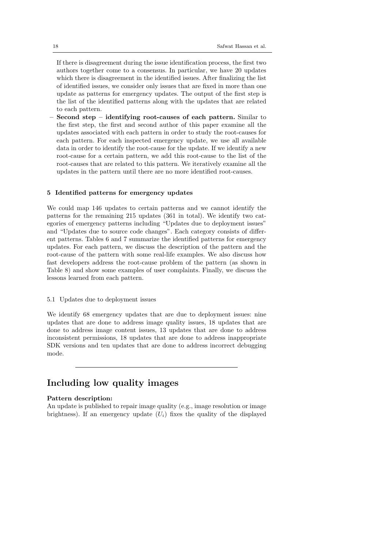If there is disagreement during the issue identification process, the first two authors together come to a consensus. In particular, we have 20 updates which there is disagreement in the identified issues. After finalizing the list of identified issues, we consider only issues that are fixed in more than one update as patterns for emergency updates. The output of the first step is the list of the identified patterns along with the updates that are related to each pattern.

– Second step – identifying root-causes of each pattern. Similar to the first step, the first and second author of this paper examine all the updates associated with each pattern in order to study the root-causes for each pattern. For each inspected emergency update, we use all available data in order to identify the root-cause for the update. If we identify a new root-cause for a certain pattern, we add this root-cause to the list of the root-causes that are related to this pattern. We iteratively examine all the updates in the pattern until there are no more identified root-causes.

#### 5 Identified patterns for emergency updates

We could map 146 updates to certain patterns and we cannot identify the patterns for the remaining 215 updates (361 in total). We identify two categories of emergency patterns including "Updates due to deployment issues" and "Updates due to source code changes". Each category consists of different patterns. Tables 6 and 7 summarize the identified patterns for emergency updates. For each pattern, we discuss the description of the pattern and the root-cause of the pattern with some real-life examples. We also discuss how fast developers address the root-cause problem of the pattern (as shown in Table 8) and show some examples of user complaints. Finally, we discuss the lessons learned from each pattern.

#### 5.1 Updates due to deployment issues

We identify 68 emergency updates that are due to deployment issues: nine updates that are done to address image quality issues, 18 updates that are done to address image content issues, 13 updates that are done to address inconsistent permissions, 18 updates that are done to address inappropriate SDK versions and ten updates that are done to address incorrect debugging mode.

# Including low quality images

#### Pattern description:

An update is published to repair image quality (e.g., image resolution or image brightness). If an emergency update  $(U_i)$  fixes the quality of the displayed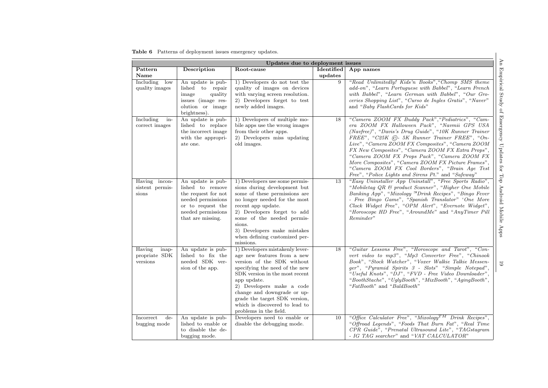Table 6 Patterns of deployment issues emergency updates.

| Updates due to deployment issues             |                                                                                                                                                    |                                                                                                                                                                                                                                                                                                                                          |                       |                                                                                                                                                                                                                                                                                                                                                                                                                                                                                                                                           |  |  |
|----------------------------------------------|----------------------------------------------------------------------------------------------------------------------------------------------------|------------------------------------------------------------------------------------------------------------------------------------------------------------------------------------------------------------------------------------------------------------------------------------------------------------------------------------------|-----------------------|-------------------------------------------------------------------------------------------------------------------------------------------------------------------------------------------------------------------------------------------------------------------------------------------------------------------------------------------------------------------------------------------------------------------------------------------------------------------------------------------------------------------------------------------|--|--|
| Pattern<br>Name                              | Description                                                                                                                                        | Root-cause                                                                                                                                                                                                                                                                                                                               | Identified<br>updates | App names                                                                                                                                                                                                                                                                                                                                                                                                                                                                                                                                 |  |  |
| Including<br>low<br>quality images           | An update is pub-<br>lished to repair<br>quality<br>image<br>issues (image res-<br>olution or image<br>brightness).                                | 1) Developers do not test the<br>quality of images on devices<br>with varying screen resolution.<br>2) Developers forget to test<br>newly added images.                                                                                                                                                                                  | 9                     | "Read Unlimitedly! Kids'n Books", "Chomp SMS theme<br>add-on", "Learn Portuguese with Babbel", "Learn French<br>with Babbel", "Learn German with Babbel", "Our Gro-<br>ceries Shopping List", "Curso de Ingles Gratis", "Naver"<br>and "Baby FlashCards for Kids"                                                                                                                                                                                                                                                                         |  |  |
| Including<br>in-<br>correct images           | An update is pub-<br>lished to replace<br>the incorrect image<br>with the appropri-<br>ate one.                                                    | 1) Developers of multiple mo-<br>bile apps use the wrong images<br>from their other apps.<br>2) Developers miss updating<br>old images.                                                                                                                                                                                                  | 18                    | "Camera ZOOM FX Buddy Pack", "Pediatrics", "Cam-<br>era ZOOM FX Halloween Pack", "Navmii GPS USA<br>(Navfree)", "Davis's Drug Guide", "10K Runner Trainer<br>FREE", "C25K $\odot$ - 5K Runner Trainer FREE", "On-<br>Live", "Camera ZOOM FX Composites", "Camera ZOOM<br>FX New Composites", "Camera ZOOM FX Extra Props".<br>"Camera ZOOM FX Props Pack", "Camera ZOOM FX<br>More Composites", "Camera ZOOM FX Picture Frames".<br>"Camera ZOOM FX Cool Borders", "Brain Age Test<br>Free", "Police Lights and Sirens Pt." and "Safeway" |  |  |
| Having<br>incon-<br>sistent permis-<br>sions | An update is pub-<br>lished to remove<br>the request for not<br>needed permissions<br>or to request the<br>needed permissions<br>that are missing. | 1) Developers use some permis-<br>sions during development but<br>some of these permissions are<br>no longer needed for the most<br>recent app update.<br>2) Developers forget to add<br>some of the needed permis-<br>sions.<br>3) Developers make mistakes<br>when defining customized per-<br>missions.                               | 13                    | "Easy Uninstaller App Uninstall", "Free Sports Radio",<br>"Mobiletag QR & product Scanner", "Higher One Mobile<br>Banking App", "Mixology ™Drink Recipes", "Bingo Fever<br>- Free Bingo Game", "Spanish Translator" 'One More<br>Clock Widget Free", "OPM Alert", "Evernote Widget",<br>"Horoscope HD Free", "AroundMe" and "AnyTimer Pill<br>Reminder"                                                                                                                                                                                   |  |  |
| Having<br>inap-<br>propriate SDK<br>versions | An update is pub-<br>lished to fix the<br>needed SDK ver-<br>sion of the app.                                                                      | 1) Developers mistakenly lever-<br>age new features from a new<br>version of the SDK without<br>specifying the need of the new<br>SDK version in the most recent<br>app update.<br>2) Developers make a code<br>change and downgrade or up-<br>grade the target SDK version,<br>which is discovered to lead to<br>problems in the field. | 18                    | "Guitar Lessons Free", "Horoscope and Tarot", "Con-<br>vert video to mp3", "Mp3 Converter Free", "Chinook<br>Book", "Stock Watcher", "Voxer Walkie Talkie Messen-<br>ger", "Pyramid Spirits 3 - Slots" "Simple Notepad",<br>"Useful Knots", "DJ", "FVD - Free Video Downloader",<br>"BoothStache", "UglyBooth", "MixBooth", "AgingBooth",<br>"FatBooth" and "BaldBooth"                                                                                                                                                                   |  |  |
| de-<br>Incorrect<br>bugging mode             | An update is pub-<br>lished to enable or<br>to disable the de-<br>bugging mode.                                                                    | Developers need to enable or<br>disable the debugging mode.                                                                                                                                                                                                                                                                              | 10                    | "Office Calculator Free", "Mixology <sup>TM</sup> Drink Recipes",<br>"Offroad Legends", "Foods That Burn Fat", "Real Time<br>CPR Guide", "Prenatal Ultrasound Lite", "TAGstagram<br>- IG TAG searcher" and "VAT CALCULATOR"                                                                                                                                                                                                                                                                                                               |  |  |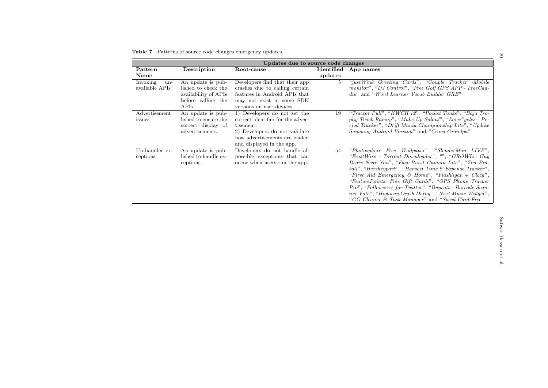| Table 7 Patterns of source code changes emergency updates. |  |  |  |  |  |  |  |
|------------------------------------------------------------|--|--|--|--|--|--|--|
|------------------------------------------------------------|--|--|--|--|--|--|--|

| Pattern<br>Name<br>Invoking<br>$un-$<br>available APIs<br>Advertisement<br>issues | Description<br>An update is pub-<br>lished to check the<br>availability of APIs<br>before calling the<br>APIs<br>An update is pub-<br>lished to ensure the<br>correct display of | Root-cause<br>Developers find that their app<br>crashes due to calling certain<br>features in Android APIs that<br>may not exist in some SDK<br>versions on user devices.<br>1) Developers do not set the<br>correct identifier for the adver- | <b>Identified</b><br>updates<br>$5^{\circ}$<br>19 | App names<br>"justWink Greeting Cards", "Couple Tracker -Mobile"<br>monitor", "DJ Control", "Free Golf GPS APP - FreeCad-<br>die" and "Word Learner Vocab Builder GRE"<br>"Tractor Pull", "KWCH 12", "Pocket Tanks", "Baja Tro- |
|-----------------------------------------------------------------------------------|----------------------------------------------------------------------------------------------------------------------------------------------------------------------------------|------------------------------------------------------------------------------------------------------------------------------------------------------------------------------------------------------------------------------------------------|---------------------------------------------------|---------------------------------------------------------------------------------------------------------------------------------------------------------------------------------------------------------------------------------|
|                                                                                   |                                                                                                                                                                                  |                                                                                                                                                                                                                                                |                                                   |                                                                                                                                                                                                                                 |
|                                                                                   |                                                                                                                                                                                  |                                                                                                                                                                                                                                                |                                                   |                                                                                                                                                                                                                                 |
|                                                                                   |                                                                                                                                                                                  |                                                                                                                                                                                                                                                |                                                   |                                                                                                                                                                                                                                 |
|                                                                                   |                                                                                                                                                                                  |                                                                                                                                                                                                                                                |                                                   |                                                                                                                                                                                                                                 |
|                                                                                   |                                                                                                                                                                                  |                                                                                                                                                                                                                                                |                                                   |                                                                                                                                                                                                                                 |
|                                                                                   |                                                                                                                                                                                  |                                                                                                                                                                                                                                                |                                                   |                                                                                                                                                                                                                                 |
|                                                                                   |                                                                                                                                                                                  |                                                                                                                                                                                                                                                |                                                   |                                                                                                                                                                                                                                 |
|                                                                                   |                                                                                                                                                                                  |                                                                                                                                                                                                                                                |                                                   |                                                                                                                                                                                                                                 |
|                                                                                   |                                                                                                                                                                                  |                                                                                                                                                                                                                                                |                                                   | phy Truck Racing", "Make Up Salon!", "LoveCycles - Pe-                                                                                                                                                                          |
|                                                                                   |                                                                                                                                                                                  | tisement.                                                                                                                                                                                                                                      |                                                   | riod Tracker", "Drift Mania Championship Lite", "Update                                                                                                                                                                         |
|                                                                                   | advertisements.                                                                                                                                                                  | 2) Developers do not validate                                                                                                                                                                                                                  |                                                   | Samsung Android Version" and "Crazy Grandpa"                                                                                                                                                                                    |
|                                                                                   |                                                                                                                                                                                  | how advertisements are loaded                                                                                                                                                                                                                  |                                                   |                                                                                                                                                                                                                                 |
|                                                                                   |                                                                                                                                                                                  | and displayed in the app.                                                                                                                                                                                                                      |                                                   |                                                                                                                                                                                                                                 |
| Un-handled ex-                                                                    | An update is pub-                                                                                                                                                                | Developers do not handle all                                                                                                                                                                                                                   | 54                                                | "Photosphere Free Wallpaper", "SlenderMan LIVE",                                                                                                                                                                                |
| ceptions                                                                          | lished to handle ex-                                                                                                                                                             | possible exceptions that can                                                                                                                                                                                                                   |                                                   | "FrostWire - Torrent Downloader", "", "GROWLr: Gay                                                                                                                                                                              |
|                                                                                   | ceptions.                                                                                                                                                                        | occur when users run the app.                                                                                                                                                                                                                  |                                                   | Bears Near You", "Fast Burst Camera Lite", "Zen Pin-                                                                                                                                                                            |
|                                                                                   |                                                                                                                                                                                  |                                                                                                                                                                                                                                                |                                                   | ball", "Hersheypark", "Harvest Time & Expense Tracker",                                                                                                                                                                         |
|                                                                                   |                                                                                                                                                                                  |                                                                                                                                                                                                                                                |                                                   | "First Aid Emergency & Home", "Flashlight + Clock",                                                                                                                                                                             |
|                                                                                   |                                                                                                                                                                                  |                                                                                                                                                                                                                                                |                                                   | "FeaturePoints: Free Gift Cards", "GPS Phone Tracker                                                                                                                                                                            |
|                                                                                   |                                                                                                                                                                                  |                                                                                                                                                                                                                                                |                                                   | Pro", "Followers+ for Twitter", "Buycott - Barcode Scan-                                                                                                                                                                        |
|                                                                                   |                                                                                                                                                                                  |                                                                                                                                                                                                                                                |                                                   | ner Vote", "Highway Crash Derby", "Next Music Widget",                                                                                                                                                                          |
|                                                                                   |                                                                                                                                                                                  |                                                                                                                                                                                                                                                |                                                   | "GO Cleaner & Task Manager" and "Speed Card Free"                                                                                                                                                                               |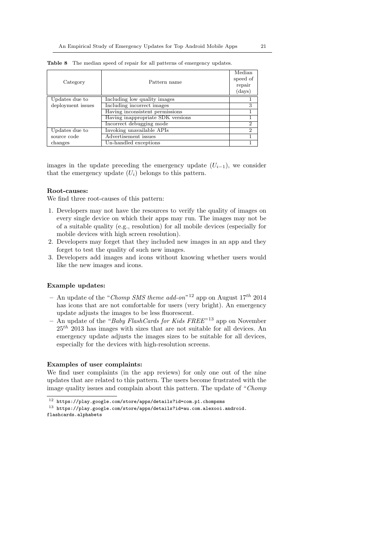| Category          | Pattern name                      | Median<br>speed of<br>repair<br>(days) |
|-------------------|-----------------------------------|----------------------------------------|
| Updates due to    | Including low quality images      |                                        |
| deployment issues | Including incorrect images        | 3                                      |
|                   | Having inconsistent permissions   |                                        |
|                   | Having inappropriate SDK versions |                                        |
|                   | Incorrect debugging mode          | $\overline{2}$                         |
| Updates due to    | Invoking unavailable APIs         | $\overline{2}$                         |
| source code       | Advertisement issues              |                                        |
| changes           | Un-handled exceptions             |                                        |

Table 8 The median speed of repair for all patterns of emergency updates.

images in the update preceding the emergency update  $(U_{i-1})$ , we consider that the emergency update  $(U_i)$  belongs to this pattern.

#### Root-causes:

We find three root-causes of this pattern:

- 1. Developers may not have the resources to verify the quality of images on every single device on which their apps may run. The images may not be of a suitable quality (e.g., resolution) for all mobile devices (especially for mobile devices with high screen resolution).
- 2. Developers may forget that they included new images in an app and they forget to test the quality of such new images.
- 3. Developers add images and icons without knowing whether users would like the new images and icons.

#### Example updates:

- An update of the "Chomp SMS theme add-on"<sup>12</sup> app on August  $17^{th}$  2014 has icons that are not comfortable for users (very bright). An emergency update adjusts the images to be less fluorescent.
- An update of the "*Baby FlashCards for Kids FREE*"<sup>13</sup> app on November  $25<sup>th</sup>$  2013 has images with sizes that are not suitable for all devices. An emergency update adjusts the images sizes to be suitable for all devices, especially for the devices with high-resolution screens.

#### Examples of user complaints:

We find user complaints (in the app reviews) for only one out of the nine updates that are related to this pattern. The users become frustrated with the image quality issues and complain about this pattern. The update of "Chomp

 $^{12}$ https://play.google.com/store/apps/details?id=com.p1.chompsms

 $^{13}$ https://play.google.com/store/apps/details?id=au.com.alexooi.android. flashcards.alphabets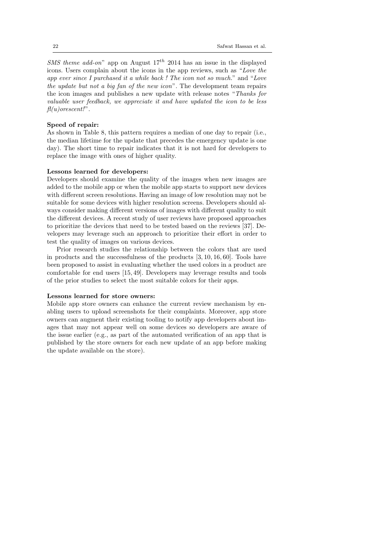SMS theme add-on" app on August  $17<sup>th</sup>$  2014 has an issue in the displayed icons. Users complain about the icons in the app reviews, such as "Love the app ever since I purchased it a while back ! The icon not so much." and "Love the update but not a big fan of the new icon". The development team repairs the icon images and publishes a new update with release notes "Thanks for valuable user feedback, we appreciate it and have updated the icon to be less  $f_l(u)$ orescent!".

# Speed of repair:

As shown in Table 8, this pattern requires a median of one day to repair (i.e., the median lifetime for the update that precedes the emergency update is one day). The short time to repair indicates that it is not hard for developers to replace the image with ones of higher quality.

#### Lessons learned for developers:

Developers should examine the quality of the images when new images are added to the mobile app or when the mobile app starts to support new devices with different screen resolutions. Having an image of low resolution may not be suitable for some devices with higher resolution screens. Developers should always consider making different versions of images with different quality to suit the different devices. A recent study of user reviews have proposed approaches to prioritize the devices that need to be tested based on the reviews [37]. Developers may leverage such an approach to prioritize their effort in order to test the quality of images on various devices.

Prior research studies the relationship between the colors that are used in products and the successfulness of the products [3, 10, 16, 60]. Tools have been proposed to assist in evaluating whether the used colors in a product are comfortable for end users [15, 49]. Developers may leverage results and tools of the prior studies to select the most suitable colors for their apps.

## Lessons learned for store owners:

Mobile app store owners can enhance the current review mechanism by enabling users to upload screenshots for their complaints. Moreover, app store owners can augment their existing tooling to notify app developers about images that may not appear well on some devices so developers are aware of the issue earlier (e.g., as part of the automated verification of an app that is published by the store owners for each new update of an app before making the update available on the store).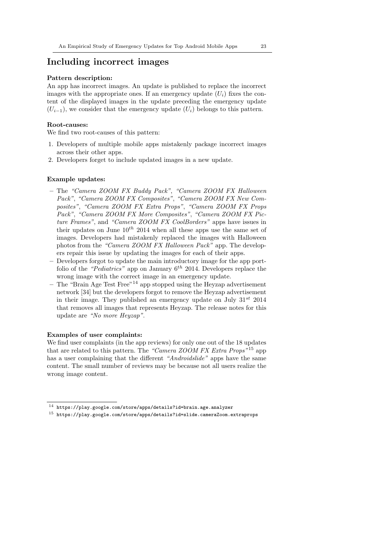# Including incorrect images

## Pattern description:

An app has incorrect images. An update is published to replace the incorrect images with the appropriate ones. If an emergency update  $(U_i)$  fixes the content of the displayed images in the update preceding the emergency update  $(U_{i-1})$ , we consider that the emergency update  $(U_i)$  belongs to this pattern.

## Root-causes:

We find two root-causes of this pattern:

- 1. Developers of multiple mobile apps mistakenly package incorrect images across their other apps.
- 2. Developers forget to include updated images in a new update.

## Example updates:

- The "Camera ZOOM FX Buddy Pack", "Camera ZOOM FX Halloween Pack", "Camera ZOOM FX Composites", "Camera ZOOM FX New Composites", "Camera ZOOM FX Extra Props", "Camera ZOOM FX Props Pack", "Camera ZOOM FX More Composites", "Camera ZOOM FX Picture Frames", and "Camera ZOOM FX CoolBorders" apps have issues in their updates on June  $10^{th}$  2014 when all these apps use the same set of images. Developers had mistakenly replaced the images with Halloween photos from the "Camera ZOOM FX Halloween Pack" app. The developers repair this issue by updating the images for each of their apps.
- Developers forgot to update the main introductory image for the app portfolio of the "Pediatrics" app on January  $6^{th}$  2014. Developers replace the wrong image with the correct image in an emergency update.
- The "Brain Age Test Free"<sup>14</sup> app stopped using the Heyzap advertisement network [34] but the developers forgot to remove the Heyzap advertisement in their image. They published an emergency update on July  $31^{st}$  2014 that removes all images that represents Heyzap. The release notes for this update are "No more Heyzap".

## Examples of user complaints:

We find user complaints (in the app reviews) for only one out of the 18 updates that are related to this pattern. The "Camera ZOOM FX Extra Props"<sup>15</sup> app has a user complaining that the different "Androidslide" apps have the same content. The small number of reviews may be because not all users realize the wrong image content.

<sup>14</sup> https://play.google.com/store/apps/details?id=brain.age.analyzer

 $^{15}\,$ https://play.google.com/store/apps/details?id=slide.cameraZoom.extraprops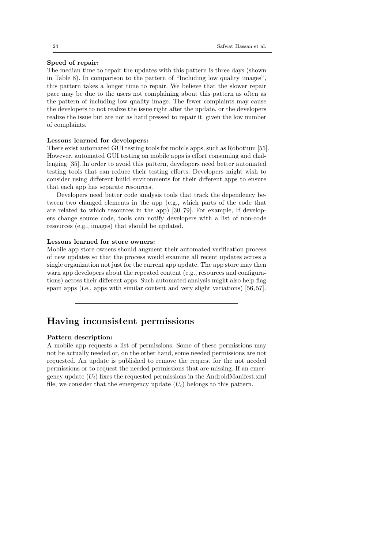# Speed of repair:

The median time to repair the updates with this pattern is three days (shown in Table 8). In comparison to the pattern of "Including low quality images", this pattern takes a longer time to repair. We believe that the slower repair pace may be due to the users not complaining about this pattern as often as the pattern of including low quality image. The fewer complaints may cause the developers to not realize the issue right after the update, or the developers realize the issue but are not as hard pressed to repair it, given the low number of complaints.

## Lessons learned for developers:

There exist automated GUI testing tools for mobile apps, such as Robotium [55]. However, automated GUI testing on mobile apps is effort consuming and challenging [35]. In order to avoid this pattern, developers need better automated testing tools that can reduce their testing efforts. Developers might wish to consider using different build environments for their different apps to ensure that each app has separate resources.

Developers need better code analysis tools that track the dependency between two changed elements in the app (e.g., which parts of the code that are related to which resources in the app) [30, 79]. For example, If developers change source code, tools can notify developers with a list of non-code resources (e.g., images) that should be updated.

#### Lessons learned for store owners:

Mobile app store owners should augment their automated verification process of new updates so that the process would examine all recent updates across a single organization not just for the current app update. The app store may then warn app developers about the repeated content (e.g., resources and configurations) across their different apps. Such automated analysis might also help flag spam apps (i.e., apps with similar content and very slight variations) [56,57].

# Having inconsistent permissions

# Pattern description:

A mobile app requests a list of permissions. Some of these permissions may not be actually needed or, on the other hand, some needed permissions are not requested. An update is published to remove the request for the not needed permissions or to request the needed permissions that are missing. If an emergency update  $(U_i)$  fixes the requested permissions in the AndroidManifest.xml file, we consider that the emergency update  $(U_i)$  belongs to this pattern.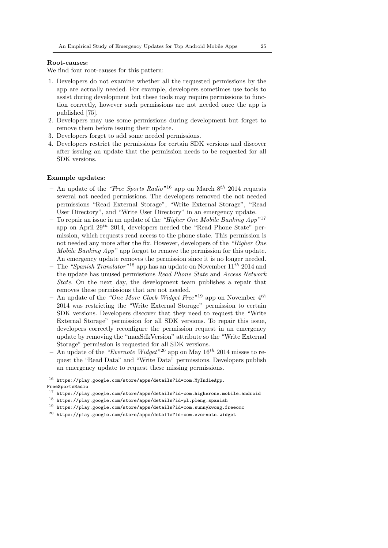#### Root-causes:

We find four root-causes for this pattern:

- 1. Developers do not examine whether all the requested permissions by the app are actually needed. For example, developers sometimes use tools to assist during development but these tools may require permissions to function correctly, however such permissions are not needed once the app is published [75].
- 2. Developers may use some permissions during development but forget to remove them before issuing their update.
- 3. Developers forget to add some needed permissions.
- 4. Developers restrict the permissions for certain SDK versions and discover after issuing an update that the permission needs to be requested for all SDK versions.

#### Example updates:

- An update of the "Free Sports Radio"<sup>16</sup> app on March  $8^{th}$  2014 requests several not needed permissions. The developers removed the not needed permissions "Read External Storage", "Write External Storage", "Read User Directory", and "Write User Directory" in an emergency update.
- To repair an issue in an update of the "Higher One Mobile Banking  $App$ "<sup>17</sup> app on April  $29^{th}$  2014, developers needed the "Read Phone State" permission, which requests read access to the phone state. This permission is not needed any more after the fix. However, developers of the "Higher One Mobile Banking App" app forgot to remove the permission for this update. An emergency update removes the permission since it is no longer needed.
- The "Spanish Translator"<sup>18</sup> app has an update on November  $11^{th}$  2014 and the update has unused permissions Read Phone State and Access Network State. On the next day, the development team publishes a repair that removes these permissions that are not needed.
- An update of the "One More Clock Widget Free"<sup>19</sup> app on November  $4^{th}$ 2014 was restricting the "Write External Storage" permission to certain SDK versions. Developers discover that they need to request the "Write External Storage" permission for all SDK versions. To repair this issue, developers correctly reconfigure the permission request in an emergency update by removing the "maxSdkVersion" attribute so the "Write External Storage" permission is requested for all SDK versions.
- An update of the "Evernote Widget"<sup>20</sup> app on May  $16^{th}$  2014 misses to request the "Read Data" and "Write Data" permissions. Developers publish an emergency update to request these missing permissions.

 $^{16}\,$ https://play.google.com/store/apps/details?id=com.MyIndieApp. FreeSportsRadio

 $^{17}$ https://play.google.com/store/apps/details?id=com.higherone.mobile.android

<sup>18</sup> https://play.google.com/store/apps/details?id=pl.pleng.spanish

 $19$  https://play.google.com/store/apps/details?id=com.sunnykwong.freeomc

<sup>20</sup> https://play.google.com/store/apps/details?id=com.evernote.widget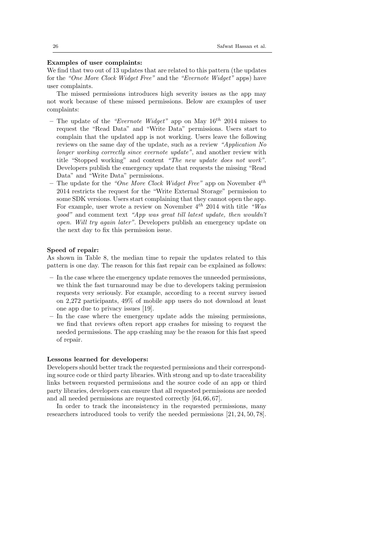## Examples of user complaints:

We find that two out of 13 updates that are related to this pattern (the updates for the "One More Clock Widget Free" and the "Evernote Widget" apps) have user complaints.

The missed permissions introduces high severity issues as the app may not work because of these missed permissions. Below are examples of user complaints:

- The update of the "Evernote Widget" app on May  $16^{th}$  2014 misses to request the "Read Data" and "Write Data" permissions. Users start to complain that the updated app is not working. Users leave the following reviews on the same day of the update, such as a review "Application No longer working correctly since evernote update", and another review with title "Stopped working" and content "The new update does not work". Developers publish the emergency update that requests the missing "Read Data" and "Write Data" permissions.
- The update for the "One More Clock Widget Free" app on November  $4^{th}$ 2014 restricts the request for the "Write External Storage" permission to some SDK versions. Users start complaining that they cannot open the app. For example, user wrote a review on November  $4^{th}$  2014 with title "Was good" and comment text "App was great till latest update, then wouldn't open. Will try again later". Developers publish an emergency update on the next day to fix this permission issue.

#### Speed of repair:

As shown in Table 8, the median time to repair the updates related to this pattern is one day. The reason for this fast repair can be explained as follows:

- In the case where the emergency update removes the unneeded permissions, we think the fast turnaround may be due to developers taking permission requests very seriously. For example, according to a recent survey issued on 2,272 participants, 49% of mobile app users do not download at least one app due to privacy issues [19].
- In the case where the emergency update adds the missing permissions, we find that reviews often report app crashes for missing to request the needed permissions. The app crashing may be the reason for this fast speed of repair.

## Lessons learned for developers:

Developers should better track the requested permissions and their corresponding source code or third party libraries. With strong and up to date traceability links between requested permissions and the source code of an app or third party libraries, developers can ensure that all requested permissions are needed and all needed permissions are requested correctly [64, 66, 67].

In order to track the inconsistency in the requested permissions, many researchers introduced tools to verify the needed permissions [21, 24, 50, 78].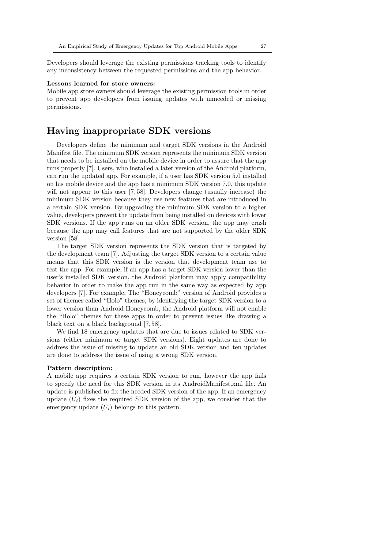Developers should leverage the existing permissions tracking tools to identify any inconsistency between the requested permissions and the app behavior.

#### Lessons learned for store owners:

Mobile app store owners should leverage the existing permission tools in order to prevent app developers from issuing updates with unneeded or missing permissions.

# Having inappropriate SDK versions

Developers define the minimum and target SDK versions in the Android Manifest file. The minimum SDK version represents the minimum SDK version that needs to be installed on the mobile device in order to assure that the app runs properly [7]. Users, who installed a later version of the Android platform, can run the updated app. For example, if a user has SDK version 5.0 installed on his mobile device and the app has a minimum SDK version 7.0, this update will not appear to this user [7, 58]. Developers change (usually increase) the minimum SDK version because they use new features that are introduced in a certain SDK version. By upgrading the minimum SDK version to a higher value, developers prevent the update from being installed on devices with lower SDK versions. If the app runs on an older SDK version, the app may crash because the app may call features that are not supported by the older SDK version [58].

The target SDK version represents the SDK version that is targeted by the development team [7]. Adjusting the target SDK version to a certain value means that this SDK version is the version that development team use to test the app. For example, if an app has a target SDK version lower than the user's installed SDK version, the Android platform may apply compatibility behavior in order to make the app run in the same way as expected by app developers [7]. For example, The "Honeycomb" version of Android provides a set of themes called "Holo" themes, by identifying the target SDK version to a lower version than Android Honeycomb, the Android platform will not enable the "Holo" themes for these apps in order to prevent issues like drawing a black text on a black background [7, 58].

We find 18 emergency updates that are due to issues related to SDK versions (either minimum or target SDK versions). Eight updates are done to address the issue of missing to update an old SDK version and ten updates are done to address the issue of using a wrong SDK version.

#### Pattern description:

A mobile app requires a certain SDK version to run, however the app fails to specify the need for this SDK version in its AndroidManifest.xml file. An update is published to fix the needed SDK version of the app. If an emergency update  $(U_i)$  fixes the required SDK version of the app, we consider that the emergency update  $(U_i)$  belongs to this pattern.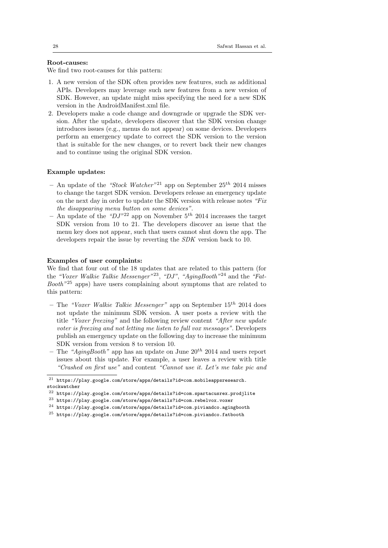#### Root-causes:

We find two root-causes for this pattern:

- 1. A new version of the SDK often provides new features, such as additional APIs. Developers may leverage such new features from a new version of SDK. However, an update might miss specifying the need for a new SDK version in the AndroidManifest.xml file.
- 2. Developers make a code change and downgrade or upgrade the SDK version. After the update, developers discover that the SDK version change introduces issues (e.g., menus do not appear) on some devices. Developers perform an emergency update to correct the SDK version to the version that is suitable for the new changes, or to revert back their new changes and to continue using the original SDK version.

#### Example updates:

- An update of the "Stock Watcher"<sup>21</sup> app on September  $25^{th}$  2014 misses to change the target SDK version. Developers release an emergency update on the next day in order to update the SDK version with release notes "Fix" the disappearing menu button on some devices".
- An update of the " $DJ''^{22}$  app on November  $5<sup>th</sup>$  2014 increases the target SDK version from 10 to 21. The developers discover an issue that the menu key does not appear, such that users cannot shut down the app. The developers repair the issue by reverting the SDK version back to 10.

#### Examples of user complaints:

We find that four out of the 18 updates that are related to this pattern (for the "Voxer Walkie Talkie Messenger"<sup>23</sup>, "DJ", "AgingBooth"<sup>24</sup> and the "Fat- $Booth$ <sup> $n25$ </sup> apps) have users complaining about symptoms that are related to this pattern:

- The "Voxer Walkie Talkie Messenger" app on September  $15^{th}$  2014 does not update the minimum SDK version. A user posts a review with the title "Voxer freezing" and the following review content "After new update voter is freezing and not letting me listen to full vox messages". Developers publish an emergency update on the following day to increase the minimum SDK version from version 8 to version 10.
- The "AgingBooth" app has an update on June  $20^{th}$  2014 and users report issues about this update. For example, a user leaves a review with title "Crashed on first use" and content "Cannot use it. Let's me take pic and

 $^{21}\,$ https://play.google.com/store/apps/details?id=com.mobileappsresearch. stockwatcher

 $^{22}\,$ https://play.google.com/store/apps/details?id=com.spartacusrex.prodjlite

 $^{23}$ https://play.google.com/store/apps/details?id=com.rebelvox.voxer

<sup>24</sup> https://play.google.com/store/apps/details?id=com.piviandco.agingbooth

<sup>25</sup> https://play.google.com/store/apps/details?id=com.piviandco.fatbooth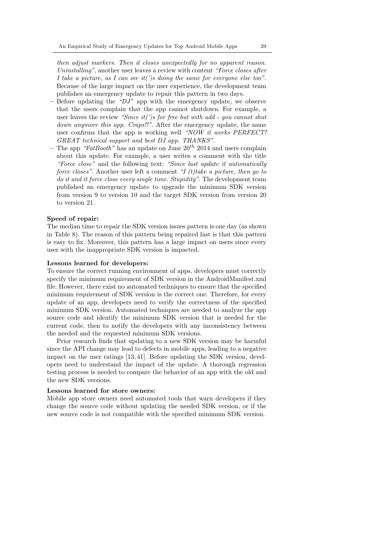then adjust markers. Then it closes unexpectedly for no apparent reason. Uninstalling", another user leaves a review with content "Force closes after I take a picture, as I can see it (')s doing the same for everyone else too". Because of the large impact on the user experience, the development team publishes an emergency update to repair this pattern in two days.

- Before updating the " $DJ$ " app with the emergency update, we observe that the users complain that the app cannot shutdown. For example, a user leaves the review "Since it(')s for free but with add - you cannot shut down anymore this app. Craps!!". After the emergency update, the same user confirms that the app is working well "NOW it works PERFECT! GREAT technical support and best DJ app. THANKS".
- The app "FatBooth" has an update on June  $20^{th}$  2014 and users complain about this update. For example, a user writes a comment with the title "Force close" and the following text: "Since last update it automatically force closes". Another user left a comment "I (t) take a picture, then go to do it and it force close every single time. Stupidity". The development team published an emergency update to upgrade the minimum SDK version from version 9 to version 10 and the target SDK version from version 20 to version 21.

#### Speed of repair:

The median time to repair the SDK version issues pattern is one day (as shown in Table 8). The reason of this pattern being repaired fast is that this pattern is easy to fix. Moreover, this pattern has a large impact on users since every user with the inappropriate SDK version is impacted.

## Lessons learned for developers:

To ensure the correct running environment of apps, developers must correctly specify the minimum requirement of SDK version in the AndroidManifest.xml file. However, there exist no automated techniques to ensure that the specified minimum requirement of SDK version is the correct one. Therefore, for every update of an app, developers need to verify the correctness of the specified minimum SDK version. Automated techniques are needed to analyze the app source code and identify the minimum SDK version that is needed for the current code, then to notify the developers with any inconsistency between the needed and the requested minimum SDK versions.

Prior research finds that updating to a new SDK version may be harmful since the API change may lead to defects in mobile apps, leading to a negative impact on the user ratings [13, 41]. Before updating the SDK version, developers need to understand the impact of the update. A thorough regression testing process is needed to compare the behavior of an app with the old and the new SDK versions.

#### Lessons learned for store owners:

Mobile app store owners need automated tools that warn developers if they change the source code without updating the needed SDK version, or if the new source code is not compatible with the specified minimum SDK version.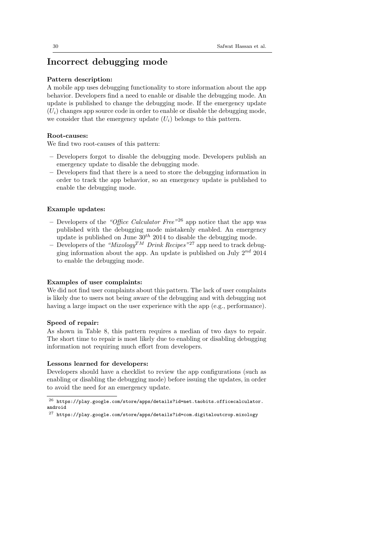# Incorrect debugging mode

#### Pattern description:

A mobile app uses debugging functionality to store information about the app behavior. Developers find a need to enable or disable the debugging mode. An update is published to change the debugging mode. If the emergency update  $(U_i)$  changes app source code in order to enable or disable the debugging mode, we consider that the emergency update  $(U_i)$  belongs to this pattern.

## Root-causes:

We find two root-causes of this pattern:

- Developers forgot to disable the debugging mode. Developers publish an emergency update to disable the debugging mode.
- Developers find that there is a need to store the debugging information in order to track the app behavior, so an emergency update is published to enable the debugging mode.

## Example updates:

- Developers of the "Office Calculator Free"<sup>26</sup> app notice that the app was published with the debugging mode mistakenly enabled. An emergency update is published on June  $30<sup>th</sup>$  2014 to disable the debugging mode.
- Developers of the "Mixology<sup>TM</sup> Drink Recipes"<sup>27</sup> app need to track debugging information about the app. An update is published on July  $2^{nd}$  2014 to enable the debugging mode.

#### Examples of user complaints:

We did not find user complaints about this pattern. The lack of user complaints is likely due to users not being aware of the debugging and with debugging not having a large impact on the user experience with the app (e.g., performance).

## Speed of repair:

As shown in Table 8, this pattern requires a median of two days to repair. The short time to repair is most likely due to enabling or disabling debugging information not requiring much effort from developers.

### Lessons learned for developers:

Developers should have a checklist to review the app configurations (such as enabling or disabling the debugging mode) before issuing the updates, in order to avoid the need for an emergency update.

 $^{26}\,$ https://play.google.com/store/apps/details?id=net.taobits.officecalculator. android

<sup>27</sup> https://play.google.com/store/apps/details?id=com.digitaloutcrop.mixology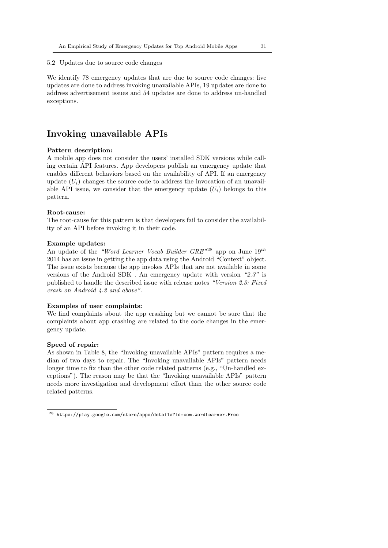5.2 Updates due to source code changes

We identify 78 emergency updates that are due to source code changes: five updates are done to address invoking unavailable APIs, 19 updates are done to address advertisement issues and 54 updates are done to address un-handled exceptions.

# Invoking unavailable APIs

#### Pattern description:

A mobile app does not consider the users' installed SDK versions while calling certain API features. App developers publish an emergency update that enables different behaviors based on the availability of API. If an emergency update  $(U_i)$  changes the source code to address the invocation of an unavailable API issue, we consider that the emergency update  $(U_i)$  belongs to this pattern.

## Root-cause:

The root-cause for this pattern is that developers fail to consider the availability of an API before invoking it in their code.

#### Example updates:

An update of the "Word Learner Vocab Builder  $GRE^{r28}$  app on June  $19^{th}$ 2014 has an issue in getting the app data using the Android "Context" object. The issue exists because the app invokes APIs that are not available in some versions of the Android SDK . An emergency update with version "2.3" is published to handle the described issue with release notes "Version 2.3: Fixed crash on Android 4.2 and above".

#### Examples of user complaints:

We find complaints about the app crashing but we cannot be sure that the complaints about app crashing are related to the code changes in the emergency update.

#### Speed of repair:

As shown in Table 8, the "Invoking unavailable APIs" pattern requires a median of two days to repair. The "Invoking unavailable APIs" pattern needs longer time to fix than the other code related patterns (e.g., "Un-handled exceptions"). The reason may be that the "Invoking unavailable APIs" pattern needs more investigation and development effort than the other source code related patterns.

 $^{28}\,$ https://play.google.com/store/apps/details?id=com.wordLearner.Free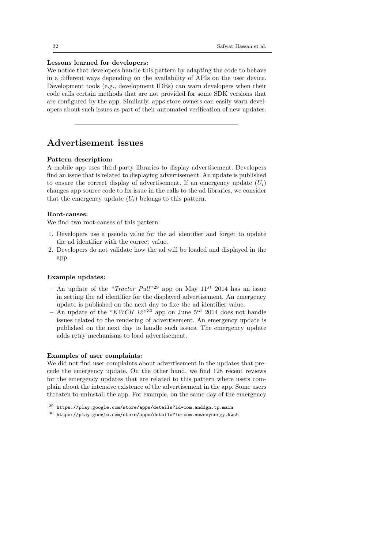# Lessons learned for developers:

We notice that developers handle this pattern by adapting the code to behave in a different ways depending on the availability of APIs on the user device. Development tools (e.g., development IDEs) can warn developers when their code calls certain methods that are not provided for some SDK versions that are configured by the app. Similarly, apps store owners can easily warn developers about such issues as part of their automated verification of new updates.

# Advertisement issues

# Pattern description:

A mobile app uses third party libraries to display advertisement. Developers find an issue that is related to displaying advertisement. An update is published to ensure the correct display of advertisement. If an emergency update  $(U_i)$ changes app source code to fix issue in the calls to the ad libraries, we consider that the emergency update  $(U_i)$  belongs to this pattern.

#### Root-causes:

We find two root-causes of this pattern:

- 1. Developers use a pseudo value for the ad identifier and forget to update the ad identifier with the correct value.
- 2. Developers do not validate how the ad will be loaded and displayed in the app.

## Example updates:

- An update of the "*Tractor Pull*"<sup>29</sup> app on May  $11^{st}$  2014 has an issue in setting the ad identifier for the displayed advertisement. An emergency update is published on the next day to fixe the ad identifier value.
- An update of the "KWCH  $12^{n30}$  app on June  $5^{th}$  2014 does not handle issues related to the rendering of advertisement. An emergency update is published on the next day to handle such issues. The emergency update adds retry mechanisms to load advertisement.

#### Examples of user complaints:

We did not find user complaints about advertisement in the updates that precede the emergency update. On the other hand, we find 128 recent reviews for the emergency updates that are related to this pattern where users complain about the intensive existence of the advertisement in the app. Some users threaten to uninstall the app. For example, on the same day of the emergency

 $^{29}$  https://play.google.com/store/apps/details?id=com.anddgn.tp.main

 $30$  https://play.google.com/store/apps/details?id=com.newssynergy.kwch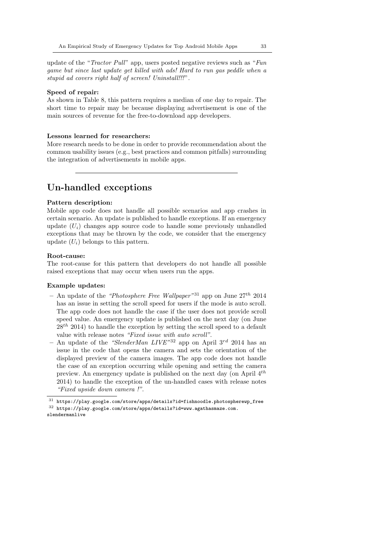update of the "Tractor Pull" app, users posted negative reviews such as "Fun game but since last update get killed with ads! Hard to run gas peddle when a stupid ad covers right half of screen! Uninstall!!!".

### Speed of repair:

As shown in Table 8, this pattern requires a median of one day to repair. The short time to repair may be because displaying advertisement is one of the main sources of revenue for the free-to-download app developers.

#### Lessons learned for researchers:

More research needs to be done in order to provide recommendation about the common usability issues (e.g., best practices and common pitfalls) surrounding the integration of advertisements in mobile apps.

# Un-handled exceptions

## Pattern description:

Mobile app code does not handle all possible scenarios and app crashes in certain scenario. An update is published to handle exceptions. If an emergency update  $(U_i)$  changes app source code to handle some previously unhandled exceptions that may be thrown by the code, we consider that the emergency update  $(U_i)$  belongs to this pattern.

#### Root-cause:

The root-cause for this pattern that developers do not handle all possible raised exceptions that may occur when users run the apps.

#### Example updates:

- An update of the "Photosphere Free Wallpaper"<sup>31</sup> app on June  $27<sup>th</sup>$  2014 has an issue in setting the scroll speed for users if the mode is auto scroll. The app code does not handle the case if the user does not provide scroll speed value. An emergency update is published on the next day (on June  $28^{th}$  2014) to handle the exception by setting the scroll speed to a default value with release notes "Fixed issue with auto scroll".
- An update of the "SlenderMan LIVE"<sup>32</sup> app on April  $3^{rd}$  2014 has an issue in the code that opens the camera and sets the orientation of the displayed preview of the camera images. The app code does not handle the case of an exception occurring while opening and setting the camera preview. An emergency update is published on the next day (on April  $4^{th}$ 2014) to handle the exception of the un-handled cases with release notes "Fixed upside down camera !".

 $^{31}\,$ https://play.google.com/store/apps/details?id=fishnoodle.photospherewp\_free  $^{32}$ https://play.google.com/store/apps/details?id=www.agathasmaze.com.

slendermanlive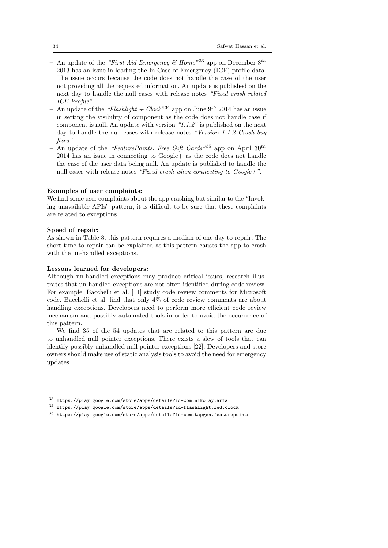- An update of the "First Aid Emergency & Home"<sup>33</sup> app on December  $8^{th}$ 2013 has an issue in loading the In Case of Emergency (ICE) profile data. The issue occurs because the code does not handle the case of the user not providing all the requested information. An update is published on the next day to handle the null cases with release notes "Fixed crash related ICE Profile".
- An update of the "Flashlight + Clock"<sup>34</sup> app on June 9<sup>th</sup> 2014 has an issue in setting the visibility of component as the code does not handle case if component is null. An update with version "1.1.2" is published on the next day to handle the null cases with release notes "Version 1.1.2 Crash bug fixed".
- An update of the "FeaturePoints: Free Gift Cards"<sup>35</sup> app on April  $30^{th}$ 2014 has an issue in connecting to Google+ as the code does not handle the case of the user data being null. An update is published to handle the null cases with release notes "Fixed crash when connecting to  $Google +$ ".

### Examples of user complaints:

We find some user complaints about the app crashing but similar to the "Invoking unavailable APIs" pattern, it is difficult to be sure that these complaints are related to exceptions.

#### Speed of repair:

As shown in Table 8, this pattern requires a median of one day to repair. The short time to repair can be explained as this pattern causes the app to crash with the un-handled exceptions.

#### Lessons learned for developers:

Although un-handled exceptions may produce critical issues, research illustrates that un-handled exceptions are not often identified during code review. For example, Bacchelli et al. [11] study code review comments for Microsoft code. Bacchelli et al. find that only 4% of code review comments are about handling exceptions. Developers need to perform more efficient code review mechanism and possibly automated tools in order to avoid the occurrence of this pattern.

We find 35 of the 54 updates that are related to this pattern are due to unhandled null pointer exceptions. There exists a slew of tools that can identify possibly unhandled null pointer exceptions [22]. Developers and store owners should make use of static analysis tools to avoid the need for emergency updates.

<sup>33</sup> https://play.google.com/store/apps/details?id=com.nikolay.arfa

<sup>34</sup> https://play.google.com/store/apps/details?id=flashlight.led.clock

<sup>35</sup> https://play.google.com/store/apps/details?id=com.tapgen.featurepoints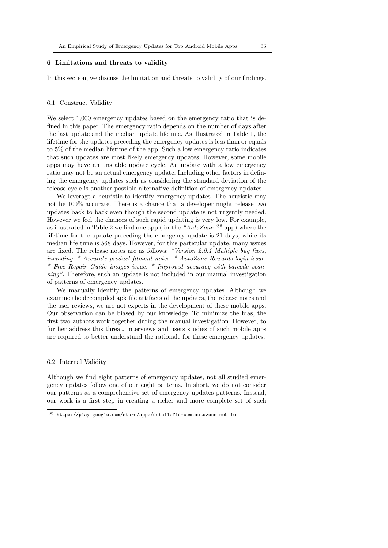#### 6 Limitations and threats to validity

In this section, we discuss the limitation and threats to validity of our findings.

# 6.1 Construct Validity

We select 1,000 emergency updates based on the emergency ratio that is defined in this paper. The emergency ratio depends on the number of days after the last update and the median update lifetime. As illustrated in Table 1, the lifetime for the updates preceding the emergency updates is less than or equals to 5% of the median lifetime of the app. Such a low emergency ratio indicates that such updates are most likely emergency updates. However, some mobile apps may have an unstable update cycle. An update with a low emergency ratio may not be an actual emergency update. Including other factors in defining the emergency updates such as considering the standard deviation of the release cycle is another possible alternative definition of emergency updates.

We leverage a heuristic to identify emergency updates. The heuristic may not be 100% accurate. There is a chance that a developer might release two updates back to back even though the second update is not urgently needed. However we feel the chances of such rapid updating is very low. For example, as illustrated in Table 2 we find one app (for the "AutoZone"<sup>36</sup> app) where the lifetime for the update preceding the emergency update is 21 days, while its median life time is 568 days. However, for this particular update, many issues are fixed. The release notes are as follows: "Version 2.0.1 Multiple bug fixes, including: \* Accurate product fitment notes. \* AutoZone Rewards login issue. \* Free Repair Guide images issue. \* Improved accuracy with barcode scanning". Therefore, such an update is not included in our manual investigation of patterns of emergency updates.

We manually identify the patterns of emergency updates. Although we examine the decompiled apk file artifacts of the updates, the release notes and the user reviews, we are not experts in the development of these mobile apps. Our observation can be biased by our knowledge. To minimize the bias, the first two authors work together during the manual investigation. However, to further address this threat, interviews and users studies of such mobile apps are required to better understand the rationale for these emergency updates.

#### 6.2 Internal Validity

Although we find eight patterns of emergency updates, not all studied emergency updates follow one of our eight patterns. In short, we do not consider our patterns as a comprehensive set of emergency updates patterns. Instead, our work is a first step in creating a richer and more complete set of such

 $^{36}\,$ https://play.google.com/store/apps/details?id=com.autozone.mobile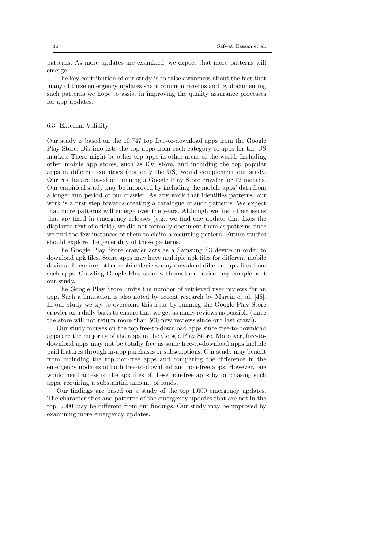patterns. As more updates are examined, we expect that more patterns will emerge.

The key contribution of our study is to raise awareness about the fact that many of these emergency updates share common reasons and by documenting such patterns we hope to assist in improving the quality assurance processes for app updates.

## 6.3 External Validity

Our study is based on the 10,747 top free-to-download apps from the Google Play Store. Distimo lists the top apps from each category of apps for the US market. There might be other top apps in other areas of the world. Including other mobile app stores, such as iOS store, and including the top popular apps in different countries (not only the US) would complement our study. Our results are based on running a Google Play Store crawler for 12 months. Our empirical study may be improved by including the mobile apps' data from a longer run period of our crawler. As any work that identifies patterns, our work is a first step towards creating a catalogue of such patterns. We expect that more patterns will emerge over the years. Although we find other issues that are fixed in emergency releases (e.g., we find one update that fixes the displayed text of a field), we did not formally document them as patterns since we find too few instances of them to claim a recurring pattern. Future studies should explore the generality of these patterns.

The Google Play Store crawler acts as a Samsung S3 device in order to download apk files. Some apps may have multiple apk files for different mobile devices. Therefore, other mobile devices may download different apk files from such apps. Crawling Google Play store with another device may complement our study.

The Google Play Store limits the number of retrieved user reviews for an app. Such a limitation is also noted by recent research by Martin et al. [45]. In our study we try to overcome this issue by running the Google Play Store crawler on a daily basis to ensure that we get as many reviews as possible (since the store will not return more than 500 new reviews since our last crawl).

Our study focuses on the top free-to-download apps since free-to-download apps are the majority of the apps in the Google Play Store. Moreover, free-todownload apps may not be totally free as some free-to-download apps include paid features through in-app purchases or subscriptions. Our study may benefit from including the top non-free apps and comparing the difference in the emergency updates of both free-to-download and non-free apps. However, one would need access to the apk files of these non-free apps by purchasing such apps, requiring a substantial amount of funds.

Our findings are based on a study of the top 1,000 emergency updates. The characteristics and patterns of the emergency updates that are not in the top 1,000 may be different from our findings. Our study may be improved by examining more emergency updates.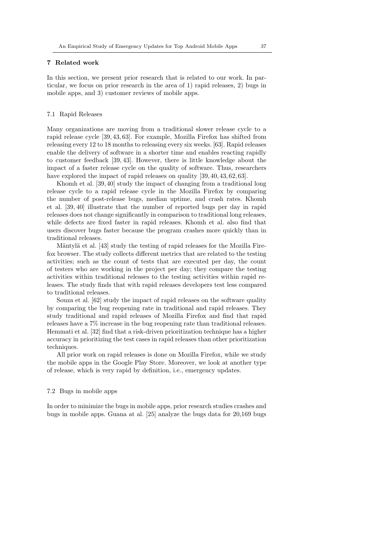## 7 Related work

In this section, we present prior research that is related to our work. In particular, we focus on prior research in the area of 1) rapid releases, 2) bugs in mobile apps, and 3) customer reviews of mobile apps.

## 7.1 Rapid Releases

Many organizations are moving from a traditional slower release cycle to a rapid release cycle [39, 43, 63]. For example, Mozilla Firefox has shifted from releasing every 12 to 18 months to releasing every six weeks. [63]. Rapid releases enable the delivery of software in a shorter time and enables reacting rapidly to customer feedback [39, 43]. However, there is little knowledge about the impact of a faster release cycle on the quality of software. Thus, researchers have explored the impact of rapid releases on quality [39, 40, 43, 62, 63].

Khomh et al. [39, 40] study the impact of changing from a traditional long release cycle to a rapid release cycle in the Mozilla Firefox by comparing the number of post-release bugs, median uptime, and crash rates. Khomh et al. [39, 40] illustrate that the number of reported bugs per day in rapid releases does not change significantly in comparison to traditional long releases, while defects are fixed faster in rapid releases. Khomh et al. also find that users discover bugs faster because the program crashes more quickly than in traditional releases.

Mäntylä et al. [43] study the testing of rapid releases for the Mozilla Firefox browser. The study collects different metrics that are related to the testing activities; such as the count of tests that are executed per day, the count of testers who are working in the project per day; they compare the testing activities within traditional releases to the testing activities within rapid releases. The study finds that with rapid releases developers test less compared to traditional releases.

Souza et al. [62] study the impact of rapid releases on the software quality by comparing the bug reopening rate in traditional and rapid releases. They study traditional and rapid releases of Mozilla Firefox and find that rapid releases have a 7% increase in the bug reopening rate than traditional releases. Hemmati et al. [32] find that a risk-driven prioritization technique has a higher accuracy in prioritizing the test cases in rapid releases than other prioritization techniques.

All prior work on rapid releases is done on Mozilla Firefox, while we study the mobile apps in the Google Play Store. Moreover, we look at another type of release, which is very rapid by definition, i.e., emergency updates.

#### 7.2 Bugs in mobile apps

In order to minimize the bugs in mobile apps, prior research studies crashes and bugs in mobile apps. Guana at al. [25] analyze the bugs data for 20,169 bugs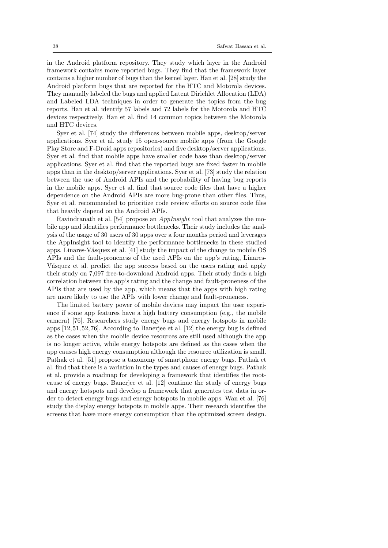in the Android platform repository. They study which layer in the Android framework contains more reported bugs. They find that the framework layer contains a higher number of bugs than the kernel layer. Han et al. [28] study the Android platform bugs that are reported for the HTC and Motorola devices. They manually labeled the bugs and applied Latent Dirichlet Allocation (LDA) and Labeled LDA techniques in order to generate the topics from the bug reports. Han et al. identify 57 labels and 72 labels for the Motorola and HTC devices respectively. Han et al. find 14 common topics between the Motorola and HTC devices.

Syer et al. [74] study the differences between mobile apps, desktop/server applications. Syer et al. study 15 open-source mobile apps (from the Google Play Store and F-Droid apps repositories) and five desktop/server applications. Syer et al. find that mobile apps have smaller code base than desktop/server applications. Syer et al. find that the reported bugs are fixed faster in mobile apps than in the desktop/server applications. Syer et al. [73] study the relation between the use of Android APIs and the probability of having bug reports in the mobile apps. Syer et al. find that source code files that have a higher dependence on the Android APIs are more bug-prone than other files. Thus, Syer et al. recommended to prioritize code review efforts on source code files that heavily depend on the Android APIs.

Ravindranath et al. [54] propose an *AppInsight* tool that analyzes the mobile app and identifies performance bottlenecks. Their study includes the analysis of the usage of 30 users of 30 apps over a four months period and leverages the AppInsight tool to identify the performance bottlenecks in these studied apps. Linares-V´asquez et al. [41] study the impact of the change to mobile OS APIs and the fault-proneness of the used APIs on the app's rating, Linares-Vásquez et al. predict the app success based on the users rating and apply their study on 7,097 free-to-download Android apps. Their study finds a high correlation between the app's rating and the change and fault-proneness of the APIs that are used by the app, which means that the apps with high rating are more likely to use the APIs with lower change and fault-proneness.

The limited battery power of mobile devices may impact the user experience if some app features have a high battery consumption (e.g., the mobile camera) [76]. Researchers study energy bugs and energy hotspots in mobile apps [12, 51, 52, 76]. According to Banerjee et al. [12] the energy bug is defined as the cases when the mobile device resources are still used although the app is no longer active, while energy hotspots are defined as the cases when the app causes high energy consumption although the resource utilization is small. Pathak et al. [51] propose a taxonomy of smartphone energy bugs. Pathak et al. find that there is a variation in the types and causes of energy bugs. Pathak et al. provide a roadmap for developing a framework that identifies the rootcause of energy bugs. Banerjee et al. [12] continue the study of energy bugs and energy hotspots and develop a framework that generates test data in order to detect energy bugs and energy hotspots in mobile apps. Wan et al. [76] study the display energy hotspots in mobile apps. Their research identifies the screens that have more energy consumption than the optimized screen design.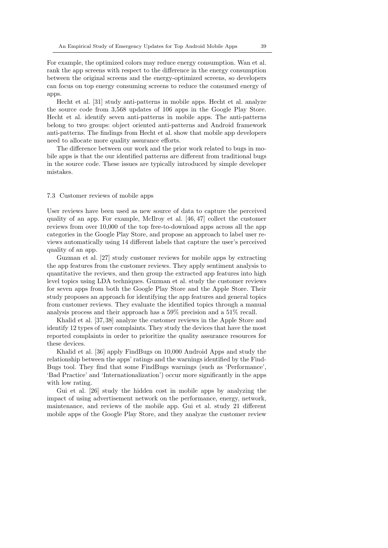For example, the optimized colors may reduce energy consumption. Wan et al. rank the app screens with respect to the difference in the energy consumption between the original screens and the energy-optimized screens, so developers can focus on top energy consuming screens to reduce the consumed energy of apps.

Hecht et al. [31] study anti-patterns in mobile apps. Hecht et al. analyze the source code from 3,568 updates of 106 apps in the Google Play Store. Hecht et al. identify seven anti-patterns in mobile apps. The anti-patterns belong to two groups: object oriented anti-patterns and Android framework anti-patterns. The findings from Hecht et al. show that mobile app developers need to allocate more quality assurance efforts.

The difference between our work and the prior work related to bugs in mobile apps is that the our identified patterns are different from traditional bugs in the source code. These issues are typically introduced by simple developer mistakes.

### 7.3 Customer reviews of mobile apps

User reviews have been used as new source of data to capture the perceived quality of an app. For example, McIlroy et al. [46, 47] collect the customer reviews from over 10,000 of the top free-to-download apps across all the app categories in the Google Play Store, and propose an approach to label user reviews automatically using 14 different labels that capture the user's perceived quality of an app.

Guzman et al. [27] study customer reviews for mobile apps by extracting the app features from the customer reviews. They apply sentiment analysis to quantitative the reviews, and then group the extracted app features into high level topics using LDA techniques. Guzman et al. study the customer reviews for seven apps from both the Google Play Store and the Apple Store. Their study proposes an approach for identifying the app features and general topics from customer reviews. They evaluate the identified topics through a manual analysis process and their approach has a 59% precision and a 51% recall.

Khalid et al. [37, 38] analyze the customer reviews in the Apple Store and identify 12 types of user complaints. They study the devices that have the most reported complaints in order to prioritize the quality assurance resources for these devices.

Khalid et al. [36] apply FindBugs on 10,000 Android Apps and study the relationship between the apps' ratings and the warnings identified by the Find-Bugs tool. They find that some FindBugs warnings (such as 'Performance', 'Bad Practice' and 'Internationalization') occur more significantly in the apps with low rating.

Gui et al. [26] study the hidden cost in mobile apps by analyzing the impact of using advertisement network on the performance, energy, network, maintenance, and reviews of the mobile app. Gui et al. study 21 different mobile apps of the Google Play Store, and they analyze the customer review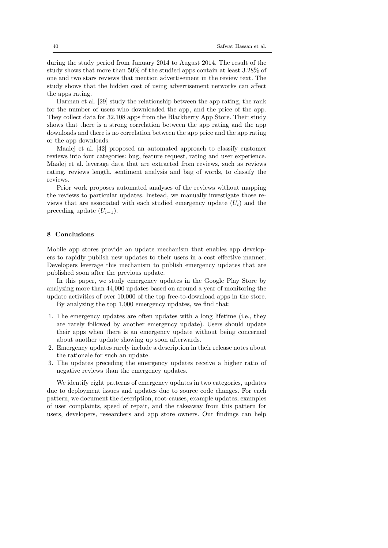during the study period from January 2014 to August 2014. The result of the study shows that more than 50% of the studied apps contain at least 3.28% of one and two stars reviews that mention advertisement in the review text. The study shows that the hidden cost of using advertisement networks can affect the apps rating.

Harman et al. [29] study the relationship between the app rating, the rank for the number of users who downloaded the app, and the price of the app. They collect data for 32,108 apps from the Blackberry App Store. Their study shows that there is a strong correlation between the app rating and the app downloads and there is no correlation between the app price and the app rating or the app downloads.

Maalej et al. [42] proposed an automated approach to classify customer reviews into four categories: bug, feature request, rating and user experience. Maalej et al. leverage data that are extracted from reviews, such as reviews rating, reviews length, sentiment analysis and bag of words, to classify the reviews.

Prior work proposes automated analyses of the reviews without mapping the reviews to particular updates. Instead, we manually investigate those reviews that are associated with each studied emergency update  $(U_i)$  and the preceding update  $(U_{i-1})$ .

## 8 Conclusions

Mobile app stores provide an update mechanism that enables app developers to rapidly publish new updates to their users in a cost effective manner. Developers leverage this mechanism to publish emergency updates that are published soon after the previous update.

In this paper, we study emergency updates in the Google Play Store by analyzing more than 44,000 updates based on around a year of monitoring the update activities of over 10,000 of the top free-to-download apps in the store.

By analyzing the top 1,000 emergency updates, we find that:

- 1. The emergency updates are often updates with a long lifetime (i.e., they are rarely followed by another emergency update). Users should update their apps when there is an emergency update without being concerned about another update showing up soon afterwards.
- 2. Emergency updates rarely include a description in their release notes about the rationale for such an update.
- 3. The updates preceding the emergency updates receive a higher ratio of negative reviews than the emergency updates.

We identify eight patterns of emergency updates in two categories, updates due to deployment issues and updates due to source code changes. For each pattern, we document the description, root-causes, example updates, examples of user complaints, speed of repair, and the takeaway from this pattern for users, developers, researchers and app store owners. Our findings can help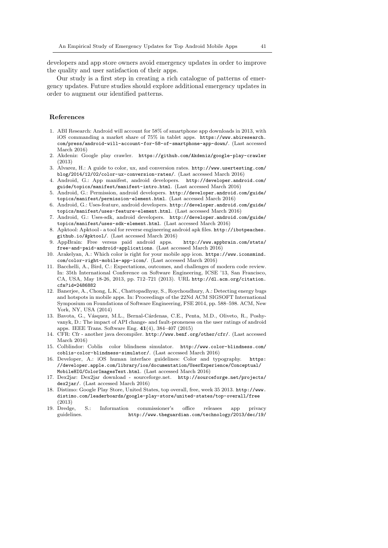developers and app store owners avoid emergency updates in order to improve the quality and user satisfaction of their apps.

Our study is a first step in creating a rich catalogue of patterns of emergency updates. Future studies should explore additional emergency updates in order to augment our identified patterns.

# References

- 1. ABI Research: Android will account for 58% of smartphone app downloads in 2013, with iOS commanding a market share of 75% in tablet apps. https://www.abiresearch. com/press/android-will-account-for-58-of-smartphone-app-down/. (Last accessed March 2016)
- 2. Akdeniz: Google play crawler. https://github.com/Akdeniz/google-play-crawler (2013)
- 3. Alvarez, H.: A guide to color, ux, and conversion rates. http://www.usertesting.com/ blog/2014/12/02/color-ux-conversion-rates/. (Last accessed March 2016)
- 4. Android, G.: App manifest, android developers. http://developer.android.com/ guide/topics/manifest/manifest-intro.html. (Last accessed March 2016)
- 5. Android, G.: Permission, android developers. http://developer.android.com/guide/ topics/manifest/permission-element.html. (Last accessed March 2016)
- 6. Android, G.: Uses-feature, android developers. http://developer.android.com/guide/ topics/manifest/uses-feature-element.html. (Last accessed March 2016)
- 7. Android, G.: Uses-sdk, android developers. http://developer.android.com/guide/ topics/manifest/uses-sdk-element.html. (Last accessed March 2016)
- 8. Apktool: Apktool a tool for reverse engineering android apk files. http://ibotpeaches. github.io/Apktool/. (Last accessed March 2016)
- 9. AppBrain: Free versus paid android apps. http://www.appbrain.com/stats/ free-and-paid-android-applications. (Last accessed March 2016)
- 10. Arakelyan, A.: Which color is right for your mobile app icon. https://www.iconsmind. com/color-right-mobile-app-icon/. (Last accessed March 2016)
- 11. Bacchelli, A., Bird, C.: Expectations, outcomes, and challenges of modern code review. In: 35th International Conference on Software Engineering, ICSE '13, San Francisco, CA, USA, May 18-26, 2013, pp. 712–721 (2013). URL http://dl.acm.org/citation. cfm?id=2486882
- 12. Banerjee, A., Chong, L.K., Chattopadhyay, S., Roychoudhury, A.: Detecting energy bugs and hotspots in mobile apps. In: Proceedings of the 22Nd ACM SIGSOFT International Symposium on Foundations of Software Engineering, FSE 2014, pp. 588–598. ACM, New York, NY, USA (2014)
- 13. Bavota, G., Vásquez, M.L., Bernal-Cárdenas, C.E., Penta, M.D., Oliveto, R., Poshyvanyk, D.: The impact of API change- and fault-proneness on the user ratings of android apps. IEEE Trans. Software Eng. 41(4), 384–407 (2015)
- 14. CFR: Cfr another java decompiler. http://www.benf.org/other/cfr/. (Last accessed March 2016)
- 15. Colblindor: Coblis color blindness simulator. http://www.color-blindness.com/ coblis-color-blindness-simulator/. (Last accessed March 2016)
- 16. Developer, A.: iOS human interface guidelines: Color and typography. https: //developer.apple.com/library/ios/documentation/UserExperience/Conceptual/ MobileHIG/ColorImagesText.html. (Last accessed March 2016)
- 17. Dex2jar: Dex2jar download sourceforge.net. http://sourceforge.net/projects/ dex2jar/. (Last accessed March 2016)
- 18. Distimo: Google Play Store, United States, top overall, free, week 35 2013. http://www. distimo.com/leaderboards/google-play-store/united-states/top-overall/free (2013)
- 19. Dredge, S.: Information commissioner's office releases app privacy guidelines. http://www.theguardian.com/technology/2013/dec/19/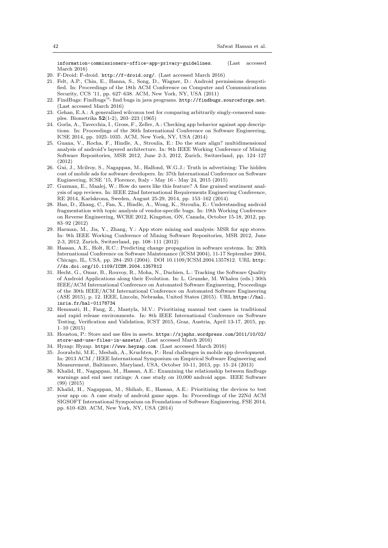information-commissioners-office-app-privacy-guidelines. (Last accessed March 2016)

- 20. F-Droid: F-droid. http://f-droid.org/. (Last accessed March 2016)
- 21. Felt, A.P., Chin, E., Hanna, S., Song, D., Wagner, D.: Android permissions demystified. In: Proceedings of the 18th ACM Conference on Computer and Communications Security, CCS '11, pp. 627–638. ACM, New York, NY, USA (2011)
- 22. FindBugs: Findbugs™- find bugs in java programs. http://findbugs.sourceforge.net. (Last accessed March 2016)
- 23. Gehan, E.A.: A generalized wilcoxon test for comparing arbitrarily singly-censored samples. Biometrika 52(1-2), 203–223 (1965)
- 24. Gorla, A., Tavecchia, I., Gross, F., Zeller, A.: Checking app behavior against app descriptions. In: Proceedings of the 36th International Conference on Software Engineering, ICSE 2014, pp. 1025–1035. ACM, New York, NY, USA (2014)
- 25. Guana, V., Rocha, F., Hindle, A., Stroulia, E.: Do the stars align? multidimensional analysis of android's layered architecture. In: 9th IEEE Working Conference of Mining Software Repositories, MSR 2012, June 2-3, 2012, Zurich, Switzerland, pp. 124–127 (2012)
- 26. Gui, J., Mcilroy, S., Nagappan, M., Halfond, W.G.J.: Truth in advertising: The hidden cost of mobile ads for software developers. In: 37th International Conference on Software Engineering, ICSE '15, Florence, Italy - May 16 - May 24, 2015 (2015)
- 27. Guzman, E., Maalej, W.: How do users like this feature? A fine grained sentiment analysis of app reviews. In: IEEE 22nd International Requirements Engineering Conference, RE 2014, Karlskrona, Sweden, August 25-29, 2014, pp. 153–162 (2014)
- 28. Han, D., Zhang, C., Fan, X., Hindle, A., Wong, K., Stroulia, E.: Understanding android fragmentation with topic analysis of vendor-specific bugs. In: 19th Working Conference on Reverse Engineering, WCRE 2012, Kingston, ON, Canada, October 15-18, 2012, pp. 83–92 (2012)
- 29. Harman, M., Jia, Y., Zhang, Y.: App store mining and analysis: MSR for app stores. In: 9th IEEE Working Conference of Mining Software Repositories, MSR 2012, June 2-3, 2012, Zurich, Switzerland, pp. 108–111 (2012)
- 30. Hassan, A.E., Holt, R.C.: Predicting change propagation in software systems. In: 20th International Conference on Software Maintenance (ICSM 2004), 11-17 September 2004, Chicago, IL, USA, pp. 284–293 (2004). DOI 10.1109/ICSM.2004.1357812. URL http: //dx.doi.org/10.1109/ICSM.2004.1357812
- 31. Hecht, G., Omar, B., Rouvoy, R., Moha, N., Duchien, L.: Tracking the Software Quality of Android Applications along their Evolution. In: L. Grunske, M. Whalen (eds.) 30th IEEE/ACM International Conference on Automated Software Engineering, Proceedings of the 30th IEEE/ACM International Conference on Automated Software Engineering (ASE 2015), p. 12. IEEE, Lincoln, Nebraska, United States (2015). URL https://hal. inria.fr/hal-01178734
- 32. Hemmati, H., Fang, Z., Mantyla, M.V.: Prioritizing manual test cases in traditional and rapid release environments. In: 8th IEEE International Conference on Software Testing, Verification and Validation, ICST 2015, Graz, Austria, April 13-17, 2015, pp. 1–10 (2015)
- 33. Houston, P.: Store and use files in assets. https://xjaphx.wordpress.com/2011/10/02/ store-and-use-files-in-assets/. (Last accessed March 2016)
- 34. Hyzap: Hyzap. https://www.heyzap.com. (Last accessed March 2016)
- 35. Joorabchi, M.E., Mesbah, A., Kruchten, P.: Real challenges in mobile app development. In: 2013 ACM / IEEE International Symposium on Empirical Software Engineering and Measurement, Baltimore, Maryland, USA, October 10-11, 2013, pp. 15–24 (2013)
- 36. Khalid, H., Nagappan, M., Hassan, A.E.: Examining the relationship between findbugs warnings and end user ratings: A case study on 10,000 android apps. IEEE Software (99) (2015)
- 37. Khalid, H., Nagappan, M., Shihab, E., Hassan, A.E.: Prioritizing the devices to test your app on: A case study of android game apps. In: Proceedings of the 22Nd ACM SIGSOFT International Symposium on Foundations of Software Engineering, FSE 2014, pp. 610–620. ACM, New York, NY, USA (2014)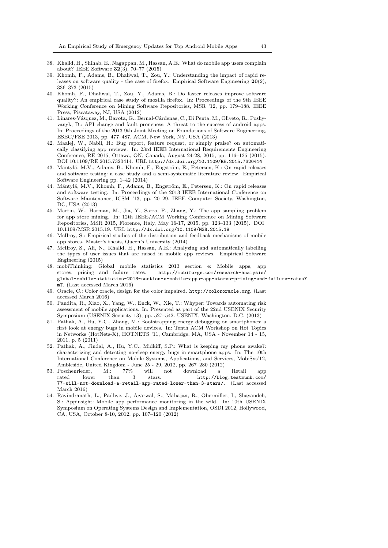- 38. Khalid, H., Shihab, E., Nagappan, M., Hassan, A.E.: What do mobile app users complain about? IEEE Software 32(3), 70–77 (2015)
- 39. Khomh, F., Adams, B., Dhaliwal, T., Zou, Y.: Understanding the impact of rapid releases on software quality - the case of firefox. Empirical Software Engineering 20(2), 336–373 (2015)
- 40. Khomh, F., Dhaliwal, T., Zou, Y., Adams, B.: Do faster releases improve software quality?: An empirical case study of mozilla firefox. In: Proceedings of the 9th IEEE Working Conference on Mining Software Repositories, MSR '12, pp. 179–188. IEEE Press, Piscataway, NJ, USA (2012)
- 41. Linares-Vásquez, M., Bavota, G., Bernal-Cárdenas, C., Di Penta, M., Oliveto, R., Poshyvanyk, D.: API change and fault proneness: A threat to the success of android apps. In: Proceedings of the 2013 9th Joint Meeting on Foundations of Software Engineering, ESEC/FSE 2013, pp. 477–487. ACM, New York, NY, USA (2013)
- 42. Maalej, W., Nabil, H.: Bug report, feature request, or simply praise? on automatically classifying app reviews. In: 23rd IEEE International Requirements Engineering Conference, RE 2015, Ottawa, ON, Canada, August 24-28, 2015, pp. 116–125 (2015). DOI 10.1109/RE.2015.7320414. URL http://dx.doi.org/10.1109/RE.2015.7320414
- 43. Mäntylä, M.V., Adams, B., Khomh, F., Engström, E., Petersen, K.: On rapid releases and software testing: a case study and a semi-systematic literature review. Empirical Software Engineering pp. 1–42 (2014)
- 44. Mäntylä, M.V., Khomh, F., Adams, B., Engström, E., Petersen, K.: On rapid releases and software testing. In: Proceedings of the 2013 IEEE International Conference on Software Maintenance, ICSM '13, pp. 20–29. IEEE Computer Society, Washington, DC, USA (2013)
- 45. Martin, W., Harman, M., Jia, Y., Sarro, F., Zhang, Y.: The app sampling problem for app store mining. In: 12th IEEE/ACM Working Conference on Mining Software Repositories, MSR 2015, Florence, Italy, May 16-17, 2015, pp. 123–133 (2015). DOI 10.1109/MSR.2015.19. URL http://dx.doi.org/10.1109/MSR.2015.19
- 46. McIlroy, S.: Empirical studies of the distribution and feedback mechanisms of mobile app stores. Master's thesis, Queen's University (2014)
- 47. McIlroy, S., Ali, N., Khalid, H., Hassan, A.E.: Analyzing and automatically labelling the types of user issues that are raised in mobile app reviews. Empirical Software Engineering (2015)
- 48. mobiThinking: Global mobile statistics 2013 section e: Mobile apps, app stores, pricing and failure rates. http://mobiforge.com/research-analysis/ global-mobile-statistics-2013-section-e-mobile-apps-app-stores-pricing-and-failure-rates? mT. (Last accessed March 2016)
- 49. Oracle, C.: Color oracle, design for the color impaired. http://colororacle.org. (Last accessed March 2016)
- 50. Pandita, R., Xiao, X., Yang, W., Enck, W., Xie, T.: Whyper: Towards automating risk assessment of mobile applications. In: Presented as part of the 22nd USENIX Security Symposium (USENIX Security 13), pp. 527–542. USENIX, Washington, D.C. (2013)
- 51. Pathak, A., Hu, Y.C., Zhang, M.: Bootstrapping energy debugging on smartphones: a first look at energy bugs in mobile devices. In: Tenth ACM Workshop on Hot Topics in Networks (HotNets-X), HOTNETS '11, Cambridge, MA, USA - November 14 - 15, 2011, p. 5 (2011)
- 52. Pathak, A., Jindal, A., Hu, Y.C., Midkiff, S.P.: What is keeping my phone awake?: characterizing and detecting no-sleep energy bugs in smartphone apps. In: The 10th International Conference on Mobile Systems, Applications, and Services, MobiSys'12, Ambleside, United Kingdom - June 25 - 29, 2012, pp. 267–280 (2012)
- Ambleside, United Kingdom June 20 23, 2012,  $\mu$ . 2012,  $\alpha$  2013, 2014, 2014, 2014, 2014, 2014, 2014, 2014, 2014, 2014, 2014, 2014, 2014, 2014, 2014, 2014, 2014, 2014, 2014, 2014, 2014, 2014, 2014, 2014, 2014, 2014 rated lower than 3 stars. http://blog.testmunk.com/ 77-will-not-download-a-retail-app-rated-lower-than-3-stars/. (Last accessed March 2016)
- 54. Ravindranath, L., Padhye, J., Agarwal, S., Mahajan, R., Obermiller, I., Shayandeh, S.: Appinsight: Mobile app performance monitoring in the wild. In: 10th USENIX Symposium on Operating Systems Design and Implementation, OSDI 2012, Hollywood, CA, USA, October 8-10, 2012, pp. 107–120 (2012)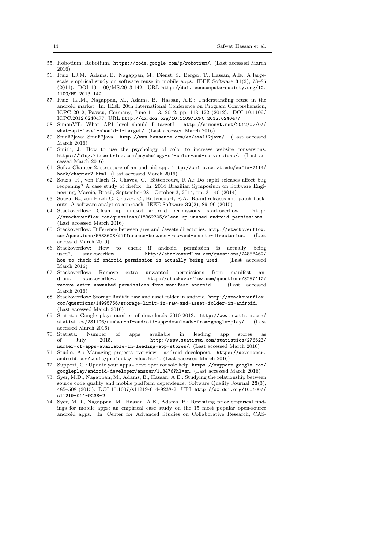- 55. Robotium: Robotium. https://code.google.com/p/robotium/. (Last accessed March 2016)
- 56. Ruiz, I.J.M., Adams, B., Nagappan, M., Dienst, S., Berger, T., Hassan, A.E.: A largescale empirical study on software reuse in mobile apps. IEEE Software 31(2), 78–86 (2014). DOI 10.1109/MS.2013.142. URL http://doi.ieeecomputersociety.org/10. 1109/MS.2013.142
- 57. Ruiz, I.J.M., Nagappan, M., Adams, B., Hassan, A.E.: Understanding reuse in the android market. In: IEEE 20th International Conference on Program Comprehension, ICPC 2012, Passau, Germany, June 11-13, 2012, pp. 113–122 (2012). DOI 10.1109/ ICPC.2012.6240477. URL http://dx.doi.org/10.1109/ICPC.2012.6240477
- 58. SimonVT: What API level should I target? http://simonvt.net/2012/02/07/ what-api-level-should-i-target/. (Last accessed March 2016)
- 59. Smali2java: Smali2java. http://www.hensence.com/en/smali2java/. (Last accessed March 2016)
- 60. Smith, J.: How to use the psychology of color to increase website conversions. https://blog.kissmetrics.com/psychology-of-color-and-conversions/. (Last accessed March 2016)
- 61. Sofia: Chapter 2, structure of an android app. http://sofia.cs.vt.edu/sofia-2114/ book/chapter2.html. (Last accessed March 2016)
- 62. Souza, R., von Flach G. Chavez, C., Bittencourt, R.A.: Do rapid releases affect bug reopening? A case study of firefox. In: 2014 Brazilian Symposium on Software Engineering, Maceió, Brazil, September 28 - October 3, 2014, pp. 31-40 (2014)
- 63. Souza, R., von Flach G. Chavez, C., Bittencourt, R.A.: Rapid releases and patch backouts: A software analytics approach. IEEE Software 32(2), 89–96 (2015)
- 64. Stackoverflow: Clean up unused android permissions, stackoverflow. http: //stackoverflow.com/questions/18362305/clean-up-unused-android-permissions. (Last accessed March 2016)
- 65. Stackoverflow: Difference between /res and /assets directories. http://stackoverflow. com/questions/5583608/difference-between-res-and-assets-directories. (Last accessed March 2016)
- 66. Stackoverflow: How to check if android permission is actually being used?, stackoverflow. http://stackoverflow.com/questions/24858462/ stackoverflow. http://stackoverflow.com/questions/24858462/ how-to-check-if-android-permission-is-actually-being-used. (Last accessed March 2016)
- 67. Stackoverflow: Remove extra unwanted permissions from manifest android, stackoverflow. http://stackoverflow.com/questions/8257412/ remove-extra-unwanted-permissions-from-manifest-android. (Last accessed March 2016)
- 68. Stackoverflow: Storage limit in raw and asset folder in android. http://stackoverflow. com/questions/14995756/storage-limit-in-raw-and-asset-folder-in-android. (Last accessed March 2016)
- 69. Statista: Google play: number of downloads 2010-2013. http://www.statista.com/ statistics/281106/number-of-android-app-downloads-from-google-play/. (Last accessed March 2016)
- 70. Statista: Number of apps available in leading app stores as of July 2015. http://www.statista.com/statistics/276623/ number-of-apps-available-in-leading-app-stores/. (Last accessed March 2016)
- 71. Studio, A.: Managing projects overview android developers. https://developer. android.com/tools/projects/index.html. (Last accessed March 2016)
- 72. Support, G.: Update your apps developer console help. https://support.google.com/ googleplay/android-developer/answer/113476?hl=en. (Last accessed March 2016)
- 73. Syer, M.D., Nagappan, M., Adams, B., Hassan, A.E.: Studying the relationship between source code quality and mobile platform dependence. Software Quality Journal 23(3), 485–508 (2015). DOI 10.1007/s11219-014-9238-2. URL http://dx.doi.org/10.1007/ s11219-014-9238-2
- 74. Syer, M.D., Nagappan, M., Hassan, A.E., Adams, B.: Revisiting prior empirical findings for mobile apps: an empirical case study on the 15 most popular open-source android apps. In: Center for Advanced Studies on Collaborative Research, CAS-